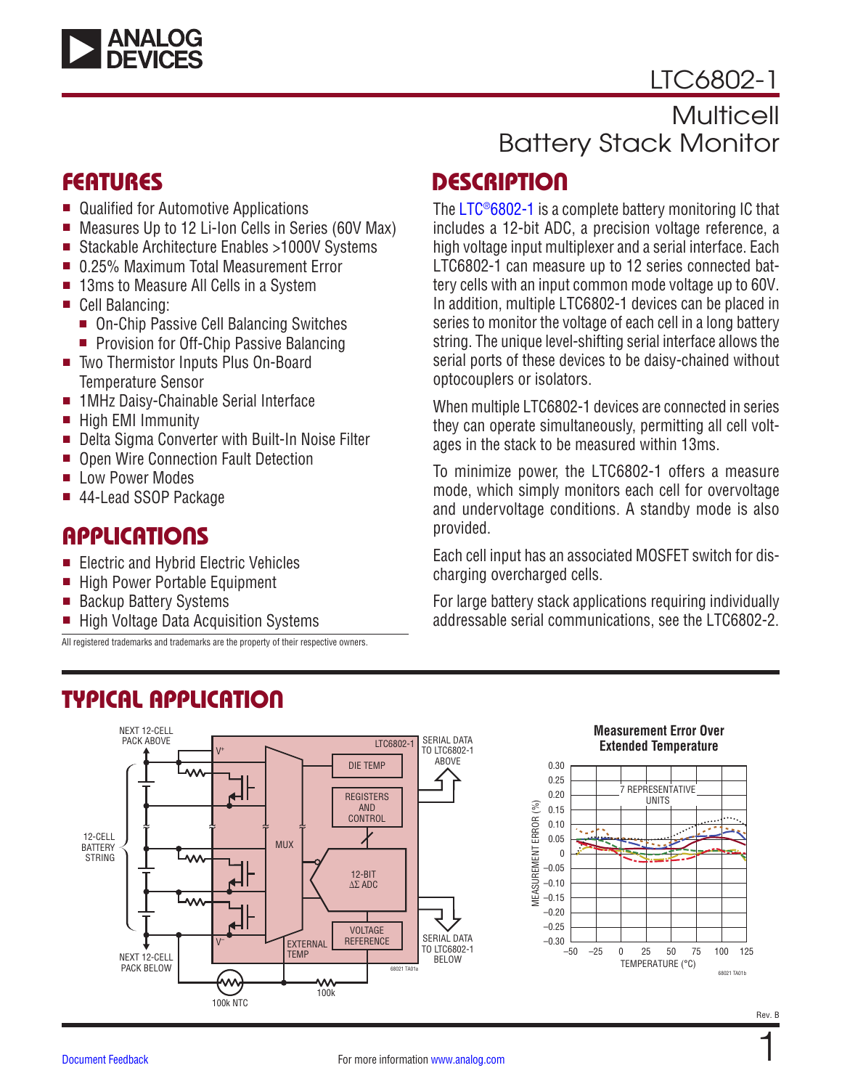

## [LTC6802-1](https://www.analog.com/en/products/LTC6802-1.html?doc=LTC6802-1.pdf)

## Multicell Battery Stack Monitor

## FEATURES

- Qualified for Automotive Applications
- Measures Up to 12 Li-Ion Cells in Series (60V Max)
- Stackable Architecture Enables >1000V Systems
- 0.25% Maximum Total Measurement Error
- 13ms to Measure All Cells in a System
- Cell Balancing:
	- On-Chip Passive Cell Balancing Switches
	- **Provision for Off-Chip Passive Balancing**
- Two Thermistor Inputs Plus On-Board Temperature Sensor
- 1MHz Daisy-Chainable Serial Interface
- High EMI Immunity
- Delta Sigma Converter with Built-In Noise Filter
- Open Wire Connection Fault Detection
- **E** Low Power Modes
- <sup>n</sup> 44-Lead SSOP Package

## **APPLICATIONS**

- Electric and Hybrid Electric Vehicles
- High Power Portable Equipment

TYPICAL APPLICATION

- Backup Battery Systems
- High Voltage Data Acquisition Systems

All registered trademarks and trademarks are the property of their respective owners.

## <span id="page-0-0"></span>**DESCRIPTION**

The [LTC®6802-1](https://www.analog.com/en/products/LTC6802-1.html?doc=LTC6802-1.pdf) is a complete battery monitoring IC that includes a 12-bit ADC, a precision voltage reference, a high voltage input multiplexer and a serial interface. Each LTC6802-1 can measure up to 12 series connected battery cells with an input common mode voltage up to 60V. In addition, multiple LTC6802-1 devices can be placed in series to monitor the voltage of each cell in a long battery string. The unique level-shifting serial interface allows the serial ports of these devices to be daisy-chained without optocouplers or isolators.

When multiple LTC6802-1 devices are connected in series they can operate simultaneously, permitting all cell voltages in the stack to be measured within 13ms.

To minimize power, the LTC6802-1 offers a measure mode, which simply monitors each cell for overvoltage and undervoltage conditions. A standby mode is also provided.

Each cell input has an associated MOSFET switch for discharging overcharged cells.

For large battery stack applications requiring individually addressable serial communications, see the LTC6802-2.

#### NEXT 12-CELL PACK ABOVE SERIAL DATA LTC6802-1 TO LTC6802-1  $V^+$ ABOVE DIE TEMP 0.30 0.25 0.20 **REGISTERS**  $(%)$ MEASUREMENT ERROR (%) 0.15 AND CONTROL *MEASUREMENT ERROR* 0.10 12-CELL 0.05 MUX **BATTERY**  $\theta$ STRING **AAA** –0.05 12-BIT  $-0.10$ ∆∑ ADC  $-0.15$ –0.20 –0.25 VOLTAGE SERIAL DATA **REFERENCE** V– EXTERNAL TO LTC6802-1 **TEMP** NEXT 12-CELL BELOW PACK BELOW 68021 TA01a W ᠕ 100k 100k NTC

#### **Measurement Error Over Extended Temperature**



1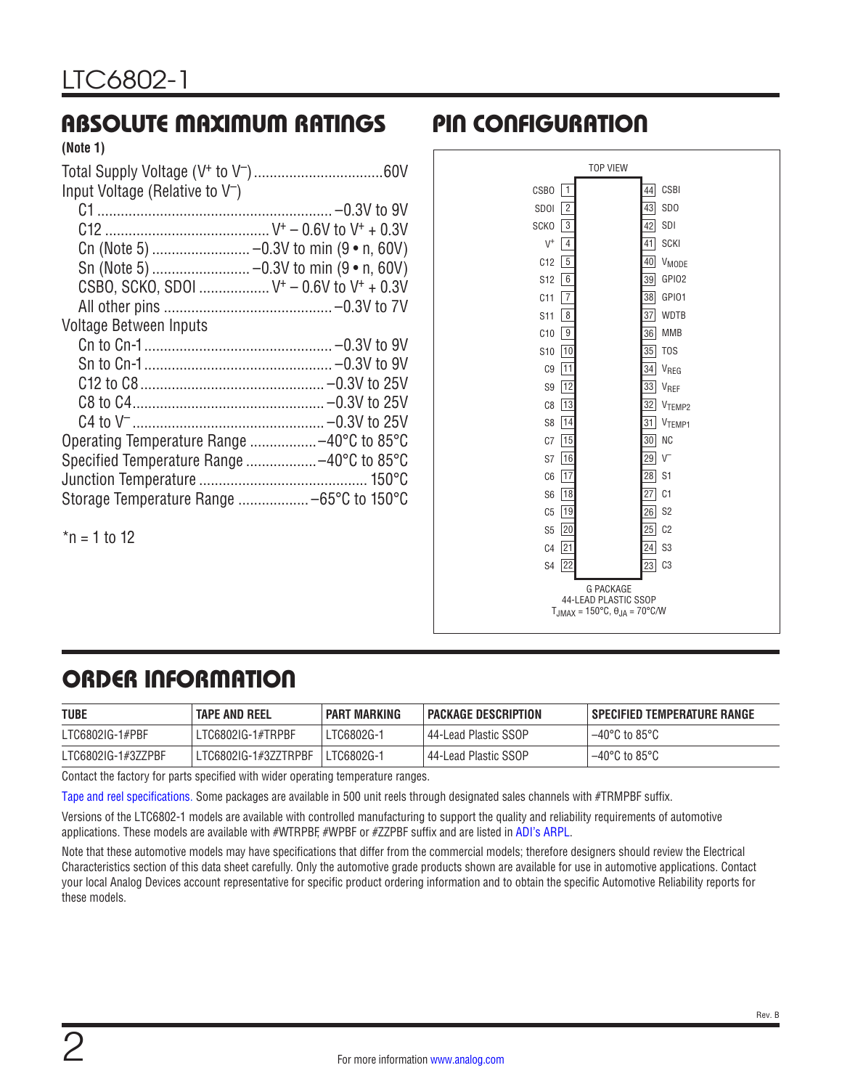### <span id="page-1-0"></span>ABSOLUTE MAXIMUM RATINGS PIN CONFIGURATION **(Note 1)**

| 111 ULU 1                                     |  |
|-----------------------------------------------|--|
|                                               |  |
| Input Voltage (Relative to $V^-$ )            |  |
|                                               |  |
|                                               |  |
|                                               |  |
|                                               |  |
| CSBO, SCKO, SDOI $V^+ - 0.6V$ to $V^+ + 0.3V$ |  |
|                                               |  |
| <b>Voltage Between Inputs</b>                 |  |
|                                               |  |
|                                               |  |
|                                               |  |
|                                               |  |
|                                               |  |
| Operating Temperature Range -40°C to 85°C     |  |
| Specified Temperature Range -40°C to 85°C     |  |
|                                               |  |
| Storage Temperature Range  -65°C to 150°C     |  |
|                                               |  |
| $n = 1$ to 12                                 |  |



## ORDER INFORMATION

| <b>TUBE</b>        | <b>TAPE AND REEL</b> | <b>PART MARKING</b> | PACKAGE DESCRIPTION    | SPECIFIED TEMPERATURE RANGE |  |  |
|--------------------|----------------------|---------------------|------------------------|-----------------------------|--|--|
| LTC6802IG-1#PBF    | LTC6802IG-1#TRPBF    | LTC6802G-1          | l 44-Lead Plastic SSOP | $1 - 40^{\circ}$ C to 85°C  |  |  |
| LTC6802IG-1#3ZZPBF | LTC6802IG-1#3ZZTRPBF | LTC6802G-1          | l 44-Lead Plastic SSOP | $-40^{\circ}$ C to 85°C     |  |  |

Contact the factory for parts specified with wider operating temperature ranges.

[Tape and reel specifications](https://www.analog.com/media/en/package-pcb-resources/package/tape-reel-rev-n.pdf). Some packages are available in 500 unit reels through designated sales channels with #TRMPBF suffix.

Versions of the LTC6802-1 models are available with controlled manufacturing to support the quality and reliability requirements of automotive applications. These models are available with #WTRPBF, #WPBF or #ZZPBF suffix and are listed in [ADI's ARPL](https://www.analog.com/media/en/news-marketing-collateral/product-selection-guide/arpl.pdf).

Note that these automotive models may have specifications that differ from the commercial models; therefore designers should review the [Electrical](#page-2-0)  [Characteristics](#page-2-0) section of this data sheet carefully. Only the automotive grade products shown are available for use in automotive applications. Contact your local Analog Devices account representative for specific product ordering information and to obtain the specific Automotive Reliability reports for these models.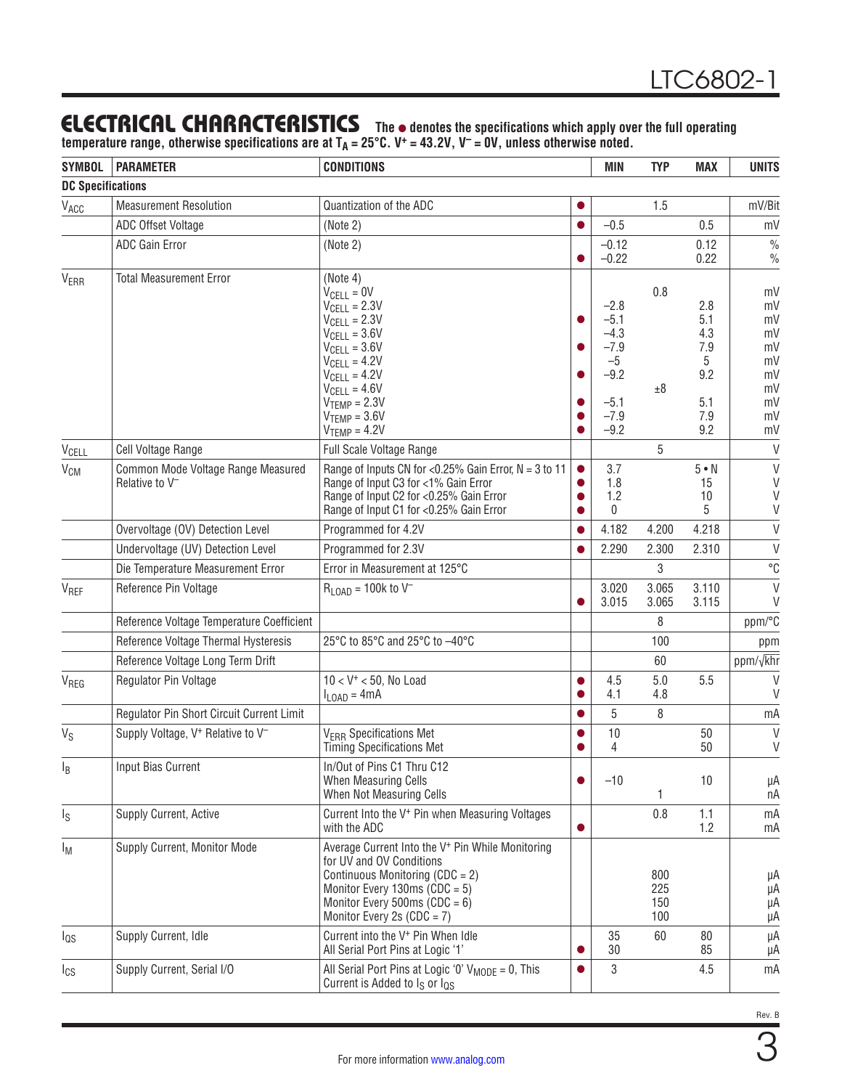## <span id="page-2-0"></span>**ELECTRICAL CHARACTERISTICS** The  $\bullet$  denotes the specifications which apply over the full operating

**temperature range, otherwise specifications are at TA = 25°C. V+ = 43.2V, V– = 0V, unless otherwise noted.**

| <b>SYMBOL</b>            | <b>PARAMETER</b>                                                 | <b>CONDITIONS</b>                                                                                                                                                                                                                                                                             |           | <b>MIN</b>                                                                           | <b>TYP</b>               | <b>MAX</b>                                                | <b>UNITS</b>                                                   |
|--------------------------|------------------------------------------------------------------|-----------------------------------------------------------------------------------------------------------------------------------------------------------------------------------------------------------------------------------------------------------------------------------------------|-----------|--------------------------------------------------------------------------------------|--------------------------|-----------------------------------------------------------|----------------------------------------------------------------|
| <b>DC Specifications</b> |                                                                  |                                                                                                                                                                                                                                                                                               |           |                                                                                      |                          |                                                           |                                                                |
| V <sub>ACC</sub>         | <b>Measurement Resolution</b>                                    | Quantization of the ADC                                                                                                                                                                                                                                                                       | $\bullet$ |                                                                                      | 1.5                      |                                                           | mV/Bit                                                         |
|                          | ADC Offset Voltage                                               | (Note 2)                                                                                                                                                                                                                                                                                      |           | $-0.5$                                                                               |                          | 0.5                                                       | mV                                                             |
|                          | ADC Gain Error                                                   | (Note 2)                                                                                                                                                                                                                                                                                      |           | $-0.12$                                                                              |                          | 0.12                                                      | $\frac{0}{0}$                                                  |
|                          |                                                                  |                                                                                                                                                                                                                                                                                               |           | $-0.22$                                                                              |                          | 0.22                                                      | $\frac{0}{0}$                                                  |
| <b>VERR</b>              | <b>Total Measurement Error</b>                                   | (Note 4)<br>$V_{\text{CELL}} = 0V$<br>$V_{\text{CELL}} = 2.3V$<br>$V_{\text{CELL}} = 2.3V$<br>$V_{\text{CELL}} = 3.6V$<br>$V_{\text{CELL}} = 3.6 V$<br>$V_{\text{CELL}} = 4.2V$<br>$V_{\text{CELL}} = 4.2V$<br>$V_{\text{CELL}} = 4.6V$<br>$VTEMP = 2.3V$<br>$VTEMP = 3.6V$<br>$VTEMP = 4.2V$ |           | $-2.8$<br>$-5.1$<br>$-4.3$<br>$-7.9$<br>$-5$<br>$-9.2$<br>$-5.1$<br>$-7.9$<br>$-9.2$ | 0.8<br>±8                | 2.8<br>5.1<br>4.3<br>7.9<br>5<br>9.2<br>5.1<br>7.9<br>9.2 | mV<br>mV<br>mV<br>mV<br>mV<br>mV<br>mV<br>mV<br>mV<br>mV<br>mV |
| V <sub>CELL</sub>        | Cell Voltage Range                                               | <b>Full Scale Voltage Range</b>                                                                                                                                                                                                                                                               |           |                                                                                      | 5                        |                                                           | $\vee$                                                         |
| $\rm V_{CM}$             | Common Mode Voltage Range Measured<br>Relative to V <sup>-</sup> | Range of Inputs CN for <0.25% Gain Error, $N = 3$ to 11<br>Range of Input C3 for <1% Gain Error<br>Range of Input C2 for <0.25% Gain Error<br>Range of Input C1 for <0.25% Gain Error                                                                                                         |           | 3.7<br>1.8<br>1.2<br>$\mathbf{0}$                                                    |                          | $5 \cdot N$<br>15<br>10<br>5                              | $\vee$<br>$\vee$<br>$\vee$<br>V                                |
|                          | Overvoltage (OV) Detection Level                                 | Programmed for 4.2V                                                                                                                                                                                                                                                                           |           | 4.182                                                                                | 4.200                    | 4.218                                                     | $\vee$                                                         |
|                          | Undervoltage (UV) Detection Level                                | Programmed for 2.3V                                                                                                                                                                                                                                                                           |           | 2.290                                                                                | 2.300                    | 2.310                                                     | $\vee$                                                         |
|                          | Die Temperature Measurement Error                                | Error in Measurement at 125°C                                                                                                                                                                                                                                                                 |           |                                                                                      | 3                        |                                                           | $^{\circ}C$                                                    |
| V <sub>REF</sub>         | Reference Pin Voltage                                            | $R_{LOAD} = 100k$ to $V^{-}$                                                                                                                                                                                                                                                                  |           | 3.020<br>3.015                                                                       | 3.065<br>3.065           | 3.110<br>3.115                                            | $\vee$<br>V                                                    |
|                          | Reference Voltage Temperature Coefficient                        |                                                                                                                                                                                                                                                                                               |           |                                                                                      | 8                        |                                                           | ppm/°C                                                         |
|                          | Reference Voltage Thermal Hysteresis                             | 25°C to 85°C and 25°C to -40°C                                                                                                                                                                                                                                                                |           |                                                                                      | 100                      |                                                           | ppm                                                            |
|                          | Reference Voltage Long Term Drift                                |                                                                                                                                                                                                                                                                                               |           |                                                                                      | 60                       |                                                           | ppm/ $\sqrt{k}$ hr                                             |
| V <sub>REG</sub>         | Regulator Pin Voltage                                            | $10 < V^+ < 50$ , No Load<br>$I_{\text{LOAD}} = 4 \text{mA}$                                                                                                                                                                                                                                  |           | 4.5<br>4.1                                                                           | 5.0<br>4.8               | 5.5                                                       | V<br>V                                                         |
|                          | Regulator Pin Short Circuit Current Limit                        |                                                                                                                                                                                                                                                                                               |           | 5                                                                                    | 8                        |                                                           | mA                                                             |
| $V_S$                    | Supply Voltage, V <sup>+</sup> Relative to V <sup>-</sup>        | <b>V<sub>ERR</sub></b> Specifications Met<br>Timing Specifications Met                                                                                                                                                                                                                        |           | 10<br>4                                                                              |                          | 50<br>50                                                  | V<br>$\vee$                                                    |
| $I_B$                    | Input Bias Current                                               | In/Out of Pins C1 Thru C12<br>When Measuring Cells<br>When Not Measuring Cells                                                                                                                                                                                                                |           | $-10$                                                                                | 1                        | 10                                                        | μA<br>пA                                                       |
| Is                       | Supply Current, Active                                           | Current Into the V <sup>+</sup> Pin when Measuring Voltages<br>with the ADC                                                                                                                                                                                                                   |           |                                                                                      | $0.8\,$                  | 1.1<br>1.2                                                | mA<br>mA                                                       |
| Iм                       | Supply Current, Monitor Mode                                     | Average Current Into the V <sup>+</sup> Pin While Monitoring<br>for UV and OV Conditions<br>Continuous Monitoring (CDC = 2)<br>Monitor Every 130ms $(CDC = 5)$<br>Monitor Every 500ms $(CDC = 6)$<br>Monitor Every 2s ( $CDC = 7$ )                                                           |           |                                                                                      | 800<br>225<br>150<br>100 |                                                           | μΑ<br>μA<br>μA<br>μA                                           |
| $I_{QS}$                 | Supply Current, Idle                                             | Current into the V <sup>+</sup> Pin When Idle<br>All Serial Port Pins at Logic '1'                                                                                                                                                                                                            |           | 35<br>30                                                                             | 60                       | 80<br>85                                                  | μA<br>μA                                                       |
| $I_{CS}$                 | Supply Current, Serial I/O                                       | All Serial Port Pins at Logic '0' $V_{MODE} = 0$ , This<br>Current is Added to I <sub>S</sub> or I <sub>OS</sub>                                                                                                                                                                              |           | 3                                                                                    |                          | 4.5                                                       | mA                                                             |

3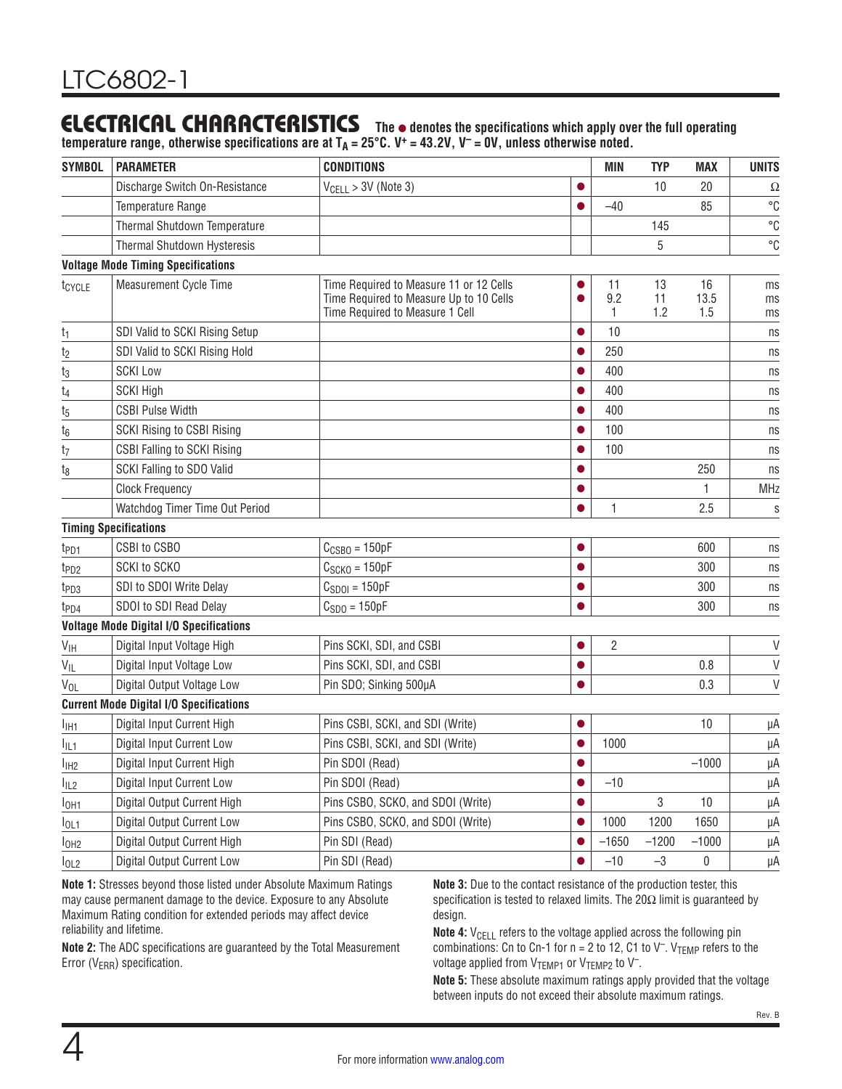## **ELECTRICAL CHARACTERISTICS** The  $\bullet$  denotes the specifications which apply over the full operating

**temperature range, otherwise specifications are at TA = 25°C. V+ = 43.2V, V– = 0V, unless otherwise noted.**

| <b>SYMBOL</b>      | <b>PARAMETER</b>                               | <b>CONDITIONS</b>                                                                                                     |           | <b>MIN</b>     | <b>TYP</b>      | <b>MAX</b>        | <b>UNITS</b>   |
|--------------------|------------------------------------------------|-----------------------------------------------------------------------------------------------------------------------|-----------|----------------|-----------------|-------------------|----------------|
|                    | Discharge Switch On-Resistance                 | $V_{\text{CELL}} > 3V$ (Note 3)                                                                                       |           |                | 10              | 20                | Ω              |
|                    | Temperature Range                              |                                                                                                                       |           | $-40$          |                 | 85                | $^{\circ}C$    |
|                    | Thermal Shutdown Temperature                   |                                                                                                                       |           |                | 145             |                   | $^{\circ}C$    |
|                    | Thermal Shutdown Hysteresis                    |                                                                                                                       |           |                | 5               |                   | °C             |
|                    | <b>Voltage Mode Timing Specifications</b>      |                                                                                                                       |           |                |                 |                   |                |
| t <sub>CYCLE</sub> | <b>Measurement Cycle Time</b>                  | Time Required to Measure 11 or 12 Cells<br>Time Required to Measure Up to 10 Cells<br>Time Required to Measure 1 Cell |           | 11<br>9.2<br>1 | 13<br>11<br>1.2 | 16<br>13.5<br>1.5 | ms<br>ms<br>ms |
| t <sub>1</sub>     | SDI Valid to SCKI Rising Setup                 |                                                                                                                       |           | 10             |                 |                   | ns             |
| t <sub>2</sub>     | SDI Valid to SCKI Rising Hold                  |                                                                                                                       |           | 250            |                 |                   | ns             |
| t <sub>3</sub>     | <b>SCKI Low</b>                                |                                                                                                                       |           | 400            |                 |                   | ns             |
| t <sub>4</sub>     | <b>SCKI High</b>                               |                                                                                                                       |           | 400            |                 |                   | ns             |
| t <sub>5</sub>     | <b>CSBI Pulse Width</b>                        |                                                                                                                       |           | 400            |                 |                   | ns             |
| t <sub>6</sub>     | <b>SCKI Rising to CSBI Rising</b>              |                                                                                                                       |           | 100            |                 |                   | ns             |
| t <sub>7</sub>     | <b>CSBI Falling to SCKI Rising</b>             |                                                                                                                       |           | 100            |                 |                   | ns             |
| t <sub>8</sub>     | SCKI Falling to SDO Valid                      |                                                                                                                       |           |                |                 | 250               | ns             |
|                    | <b>Clock Frequency</b>                         |                                                                                                                       |           |                |                 | 1                 | <b>MHz</b>     |
|                    | Watchdog Timer Time Out Period                 |                                                                                                                       |           | 1              |                 | 2.5               | $\mathsf S$    |
|                    | <b>Timing Specifications</b>                   |                                                                                                                       |           |                |                 |                   |                |
| t <sub>PD1</sub>   | CSBI to CSBO                                   | $C_{CSBO} = 150pF$                                                                                                    |           |                |                 | 600               | ns             |
| t <sub>PD2</sub>   | SCKI to SCKO                                   | $C_{SCKO} = 150pF$                                                                                                    | $\bullet$ |                |                 | 300               | ns             |
| t <sub>PD3</sub>   | SDI to SDOI Write Delay                        | $C_{SDO1} = 150pF$                                                                                                    |           |                |                 | 300               | ns             |
| t <sub>PD4</sub>   | SDOI to SDI Read Delay                         | $CSDO = 150pF$                                                                                                        |           |                |                 | 300               | ns             |
|                    | <b>Voltage Mode Digital I/O Specifications</b> |                                                                                                                       |           |                |                 |                   |                |
| $V_{\text{IH}}$    | Digital Input Voltage High                     | Pins SCKI, SDI, and CSBI                                                                                              |           | 2              |                 |                   | $\vee$         |
| $V_{IL}$           | Digital Input Voltage Low                      | Pins SCKI, SDI, and CSBI                                                                                              |           |                |                 | 0.8               | $\vee$         |
| V <sub>OL</sub>    | Digital Output Voltage Low                     | Pin SDO; Sinking 500µA                                                                                                |           |                |                 | 0.3               | V              |
|                    | <b>Current Mode Digital I/O Specifications</b> |                                                                                                                       |           |                |                 |                   |                |
| I <sub>IH1</sub>   | Digital Input Current High                     | Pins CSBI, SCKI, and SDI (Write)                                                                                      |           |                |                 | 10                | μA             |
| $I_{IL1}$          | Digital Input Current Low                      | Pins CSBI, SCKI, and SDI (Write)                                                                                      |           | 1000           |                 |                   | μA             |
| I <sub>IH2</sub>   | Digital Input Current High                     | Pin SDOI (Read)                                                                                                       |           |                |                 | $-1000$           | μA             |
| $I_{IL2}$          | Digital Input Current Low                      | Pin SDOI (Read)                                                                                                       |           | $-10$          |                 |                   | μA             |
| I <sub>OH1</sub>   | Digital Output Current High                    | Pins CSBO, SCKO, and SDOI (Write)                                                                                     |           |                | 3               | 10                | μA             |
| $I_{OL1}$          | Digital Output Current Low                     | Pins CSBO, SCKO, and SDOI (Write)                                                                                     |           | 1000           | 1200            | 1650              | μA             |
| I <sub>OH2</sub>   | Digital Output Current High                    | Pin SDI (Read)                                                                                                        |           | $-1650$        | $-1200$         | $-1000$           | μA             |
| I <sub>OL2</sub>   | <b>Digital Output Current Low</b>              | Pin SDI (Read)                                                                                                        |           | $-10$          | $-3$            | 0                 | μΑ             |
|                    |                                                |                                                                                                                       |           |                |                 |                   |                |

**Note 1:** Stresses beyond those listed under Absolute Maximum Ratings may cause permanent damage to the device. Exposure to any Absolute Maximum Rating condition for extended periods may affect device reliability and lifetime.

**Note 2:** The ADC specifications are guaranteed by the Total Measurement Error (V<sub>ERR</sub>) specification.

**Note 3:** Due to the contact resistance of the production tester, this specification is tested to relaxed limits. The 20Ω limit is guaranteed by design.

**Note 4:** V<sub>CELL</sub> refers to the voltage applied across the following pin combinations: Cn to Cn-1 for  $n = 2$  to 12, C1 to V<sup>-</sup>. V<sub>TEMP</sub> refers to the voltage applied from  $V_{\text{TEMP1}}$  or  $V_{\text{TEMP2}}$  to  $V^-$ .

**Note 5:** These absolute maximum ratings apply provided that the voltage between inputs do not exceed their absolute maximum ratings.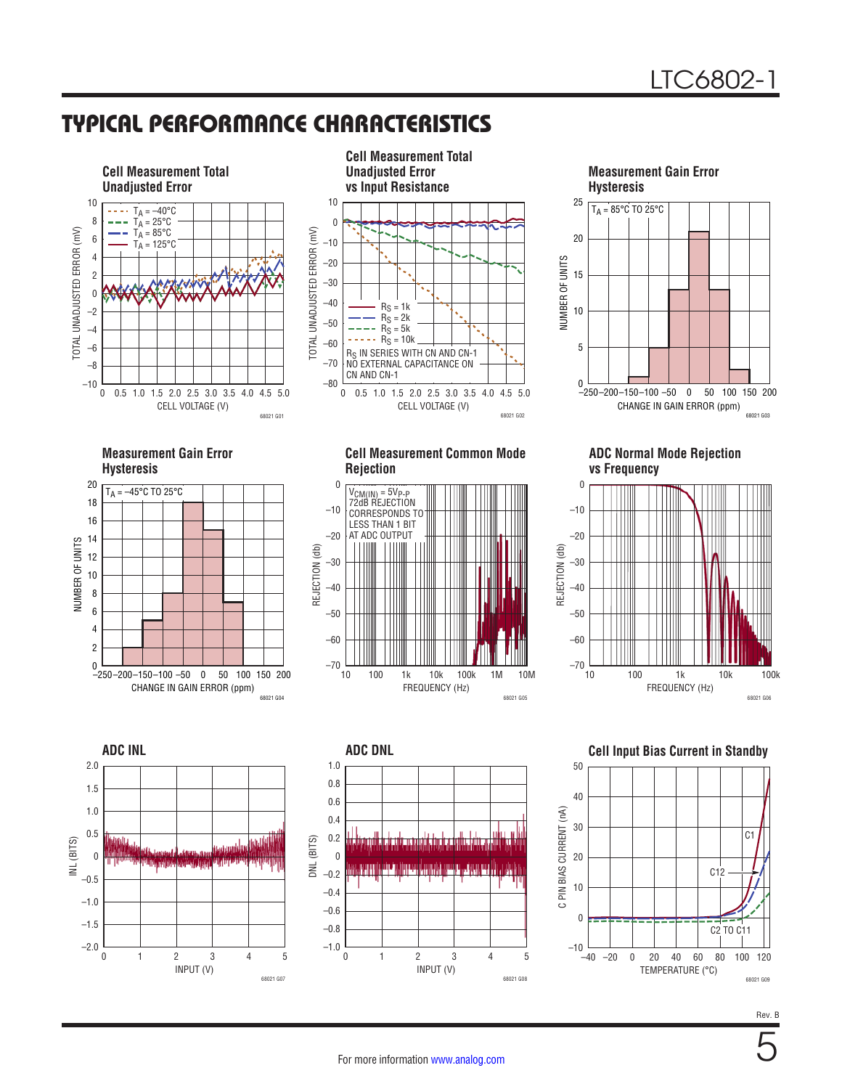## TYPICAL PERFORMANCE CHARACTERISTICS







**Measurement Gain Error Hysteresis**



**Cell Measurement Common Mode Rejection**



**ADC Normal Mode Rejection vs Frequency**







**Cell Input Bias Current in Standby**



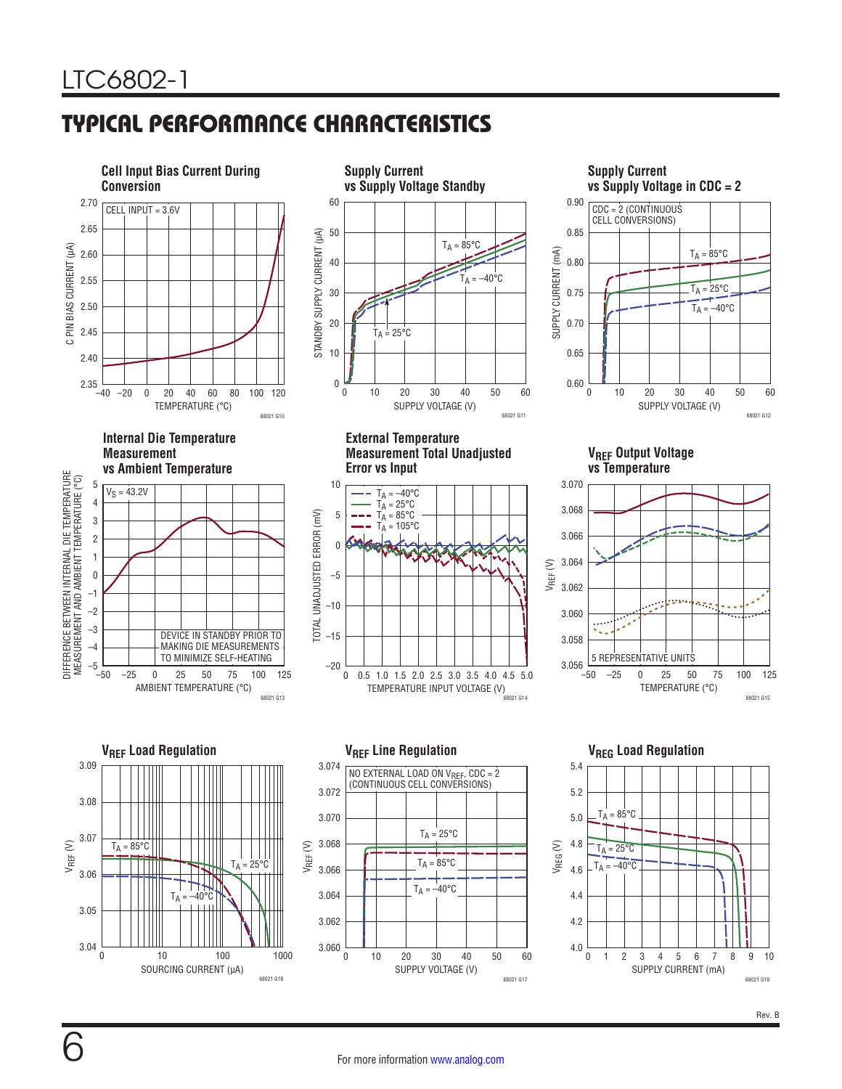## TYPICAL PERFORMANCE CHARACTERISTICS









**External Temperature Measurement Total Unadjusted Error vs Input**



**Supply Current vs Supply Voltage in CDC = 2** 0.90 CDC = 2 (CONTINUOUS CELL CONVERSIONS) 0.85  $T_A = 85^{\circ}$ C SUPPLY CURRENT (mA) SUPPLY CURRENT (mA) 0.80  $T_A = 25^{\circ}C$ 0.75  $T_A = -40$ °C 0.70 0.65 0.60 0 60 10 20 30 40 50 SUPPLY VOLTAGE (V) 68021 G12

**VREF Output Voltage vs Temperature**





SUPPLY VOLTAGE (V) 0 3.074 3.072 3.070 3.068 3.066 3.064 3.062 3.060 10 20 30 40 50 68021 G17 60  $T_A = 85^{\circ}C$  $T_A = -40$ °C  $T_A = 25^{\circ}C$ NO EXTERNAL LOAD ON V<sub>REF</sub>, CDC = 2<br>(CONTINUOUS CELL CONVERSIONS)

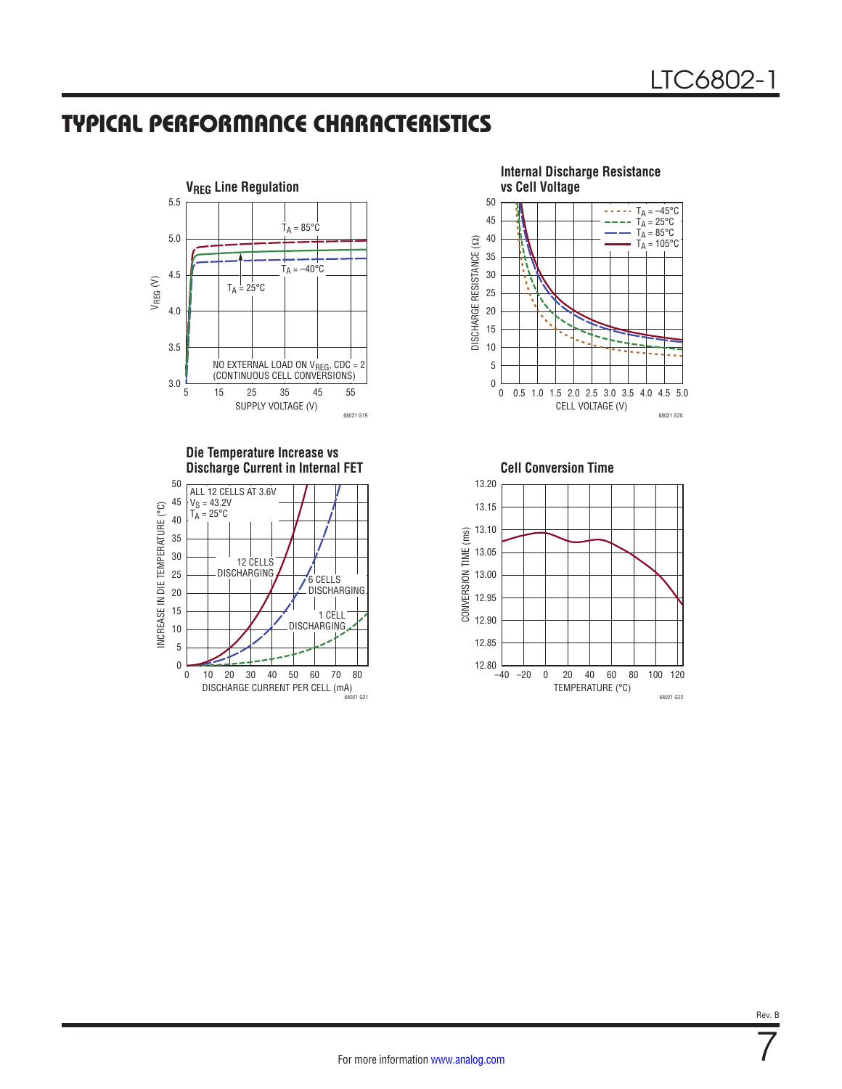## TYPICAL PERFORMANCE CHARACTERISTICS



**Die Temperature Increase vs** 



**Internal Discharge Resistance vs Cell Voltage** 50  $T_A = -45$ °C  $T_A = 25^{\circ}C$ 45  $T_A = 85^{\circ}C$ 40 DISCHARGE RESISTANCE (22) DISCHARGE RESISTANCE (Ω)  $T_A = 105^{\circ}C$ 35 30 25 20 15 10 5 0  $\mathbf 0$ 0.5 1.0 1.5 2.0 2.5 3.0 3.5 4.0 4.5 5.0 CELL VOLTAGE (V) 68021 G20



7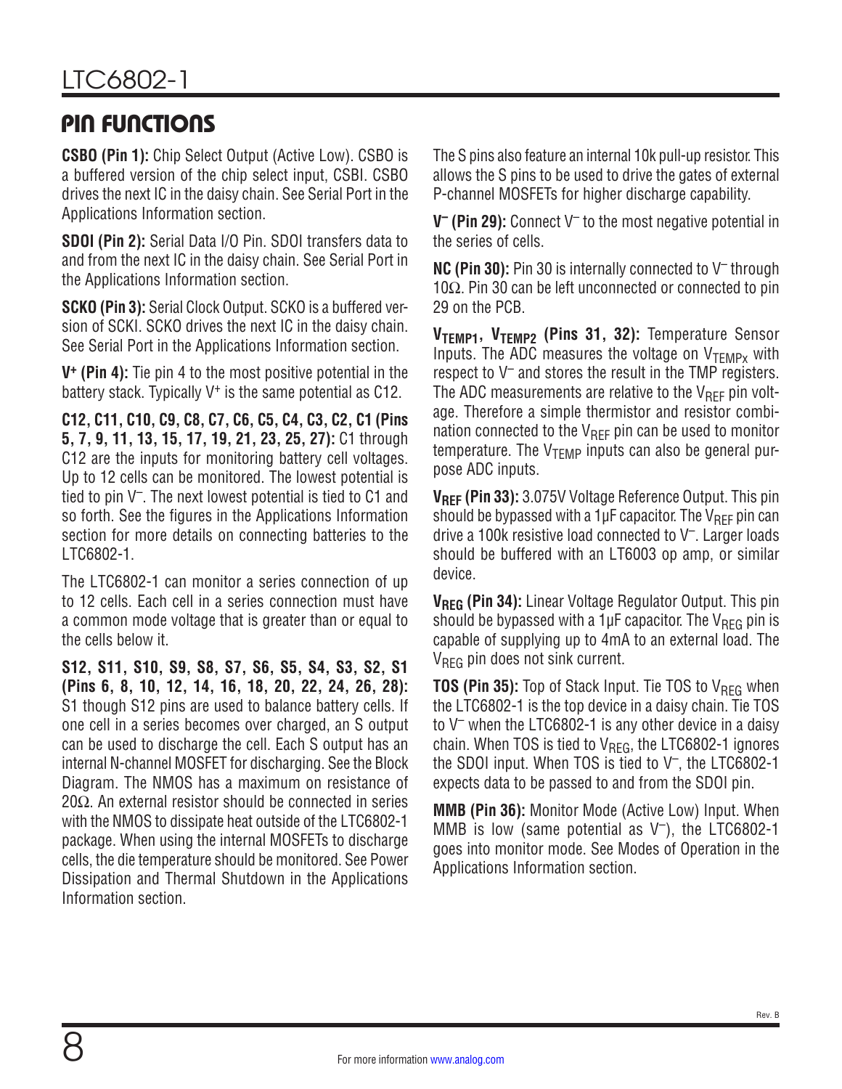## <span id="page-7-0"></span>PIN FUNCTIONS

**CSBO (Pin 1):** Chip Select Output (Active Low). CSBO is a buffered version of the chip select input, CSBI. CSBO drives the next IC in the daisy chain. See Serial Port in the [Applications Information](#page-15-0) section.

**SDOI (Pin 2):** Serial Data I/O Pin. SDOI transfers data to and from the next IC in the daisy chain. See Serial Port in the [Applications Information](#page-15-0) section.

**SCKO (Pin 3):** Serial Clock Output. SCKO is a buffered version of SCKI. SCKO drives the next IC in the daisy chain. See Serial Port in the [Applications Information](#page-15-0) section.

**V+ (Pin 4):** Tie pin 4 to the most positive potential in the battery stack. Typically V<sup>+</sup> is the same potential as C12.

**C12, C11, C10, C9, C8, C7, C6, C5, C4, C3, C2, C1 (Pins 5, 7, 9, 11, 13, 15, 17, 19, 21, 23, 25, 27):** C1 through C12 are the inputs for monitoring battery cell voltages. Up to 12 cells can be monitored. The lowest potential is tied to pin V–. The next lowest potential is tied to C1 and so forth. See the figures in the [Applications Information](#page-15-0) section for more details on connecting batteries to the LTC6802-1.

The LTC6802-1 can monitor a series connection of up to 12 cells. Each cell in a series connection must have a common mode voltage that is greater than or equal to the cells below it.

**S12, S11, S10, S9, S8, S7, S6, S5, S4, S3, S2, S1 (Pins 6, 8, 10, 12, 14, 16, 18, 20, 22, 24, 26, 28):** S1 though S12 pins are used to balance battery cells. If one cell in a series becomes over charged, an S output can be used to discharge the cell. Each S output has an internal N-channel MOSFET for discharging. See the [Block](#page-9-0) [Diagram.](#page-9-0) The NMOS has a maximum on resistance of 20 $Ω$ . An external resistor should be connected in series with the NMOS to dissipate heat outside of the LTC6802-1 package. When using the internal MOSFETs to discharge cells, the die temperature should be monitored. See Power Dissipation and Thermal Shutdown in the [Applications](#page-15-0) [Information](#page-15-0) section.

The S pins also feature an internal 10k pull-up resistor. This allows the S pins to be used to drive the gates of external P-channel MOSFETs for higher discharge capability.

**V– (Pin 29):** Connect V– to the most negative potential in the series of cells.

**NC (Pin 30):** Pin 30 is internally connected to V– through 10Ω. Pin 30 can be left unconnected or connected to pin 29 on the PCB.

**VTEMP1, VTEMP2 (Pins 31, 32):** Temperature Sensor Inputs. The ADC measures the voltage on  $V_{TFMPX}$  with respect to  $V^-$  and stores the result in the TMP registers. The ADC measurements are relative to the  $V_{\text{RFF}}$  pin voltage. Therefore a simple thermistor and resistor combination connected to the  $V_{\text{RFF}}$  pin can be used to monitor temperature. The  $V_{TFMP}$  inputs can also be general purpose ADC inputs.

**VREF (Pin 33):** 3.075V Voltage Reference Output. This pin should be bypassed with a 1 $\mu$ F capacitor. The V<sub>RFF</sub> pin can drive a 100k resistive load connected to V–. Larger loads should be buffered with an LT6003 op amp, or similar device.

**VREG (Pin 34):** Linear Voltage Regulator Output. This pin should be bypassed with a 1 $\mu$ F capacitor. The V<sub>RFG</sub> pin is capable of supplying up to 4mA to an external load. The V<sub>RFG</sub> pin does not sink current.

**TOS (Pin 35):** Top of Stack Input. Tie TOS to V<sub>REG</sub> when the LTC6802-1 is the top device in a daisy chain. Tie TOS to  $V^-$  when the LTC6802-1 is any other device in a daisy chain. When TOS is tied to  $V<sub>REG</sub>$ , the LTC6802-1 ignores the SDOI input. When TOS is tied to V–, the LTC6802-1 expects data to be passed to and from the SDOI pin.

**MMB (Pin 36):** Monitor Mode (Active Low) Input. When MMB is low (same potential as  $V^-$ ), the LTC6802-1 goes into monitor mode. See [Modes of Operation](#page-16-0) in the [Applications Information](#page-15-0) section.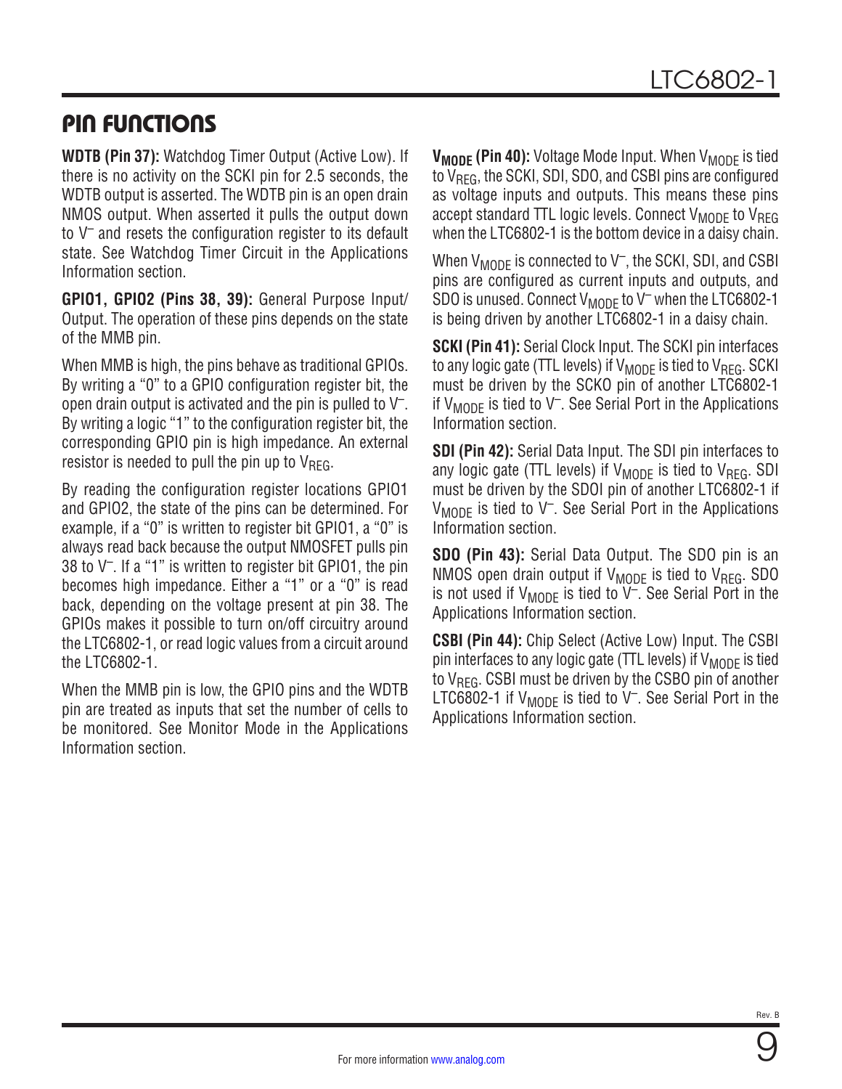## PIN FUNCTIONS

**WDTB (Pin 37):** Watchdog Timer Output (Active Low). If there is no activity on the SCKI pin for 2.5 seconds, the WDTB output is asserted. The WDTB pin is an open drain NMOS output. When asserted it pulls the output down to  $V^-$  and resets the configuration register to its default state. See Watchdog Timer Circuit in the [Applications](#page-15-0) [Information](#page-15-0) section.

**GPIO1, GPIO2 (Pins 38, 39):** General Purpose Input/ Output. The operation of these pins depends on the state of the MMB pin.

When MMB is high, the pins behave as traditional GPIOs. By writing a "0" to a GPIO configuration register bit, the open drain output is activated and the pin is pulled to  $V^-$ . By writing a logic "1" to the configuration register bit, the corresponding GPIO pin is high impedance. An external resistor is needed to pull the pin up to  $V_{RFG}$ .

By reading the configuration register locations GPIO1 and GPIO2, the state of the pins can be determined. For example, if a "0" is written to register bit GPIO1, a "0" is always read back because the output NMOSFET pulls pin 38 to V–. If a "1" is written to register bit GPIO1, the pin becomes high impedance. Either a "1" or a "0" is read back, depending on the voltage present at pin 38. The GPIOs makes it possible to turn on/off circuitry around the LTC6802-1, or read logic values from a circuit around the LTC6802-1.

When the MMB pin is low, the GPIO pins and the WDTB pin are treated as inputs that set the number of cells to be monitored. See Monitor Mode in the [Applications](#page-15-0)  [Information](#page-15-0) section.

**V<sub>MODE</sub>** (Pin 40): Voltage Mode Input. When V<sub>MODE</sub> is tied to  $V<sub>BFG</sub>$ , the SCKI, SDI, SDO, and CSBI pins are configured as voltage inputs and outputs. This means these pins accept standard TTL logic levels. Connect  $V_{MODF}$  to  $V_{BFG}$ when the LTC6802-1 is the bottom device in a daisy chain.

When  $V_{MODE}$  is connected to  $V^-$ , the SCKI, SDI, and CSBI pins are configured as current inputs and outputs, and SDO is unused. Connect  $V_{\text{MODF}}$  to V<sup>-</sup> when the LTC6802-1 is being driven by another LTC6802-1 in a daisy chain.

**SCKI (Pin 41):** Serial Clock Input. The SCKI pin interfaces to any logic gate (TTL levels) if  $V_{MODF}$  is tied to  $V_{BFG}$ . SCKI must be driven by the SCKO pin of another LTC6802-1 if  $V_{\text{MODE}}$  is tied to  $V^-$ . See Serial Port in the Applications [Information](#page-15-0) section.

**SDI (Pin 42):** Serial Data Input. The SDI pin interfaces to any logic gate (TTL levels) if  $V_{MODE}$  is tied to  $V_{REG}$ . SDI must be driven by the SDOI pin of another LTC6802-1 if  $V_{MODF}$  is tied to  $V^-$ . See Serial Port in the Applications [Information](#page-15-0) section.

**SDO (Pin 43):** Serial Data Output. The SDO pin is an NMOS open drain output if  $V_{MODF}$  is tied to  $V_{BFG}$ . SDO is not used if  $V_{MODE}$  is tied to  $V^-$ . See Serial Port in the [Applications Information](#page-15-0) section.

**CSBI (Pin 44):** Chip Select (Active Low) Input. The CSBI pin interfaces to any logic gate (TTL levels) if  $V_{MODF}$  is tied to  $V_{RFG}$ . CSBI must be driven by the CSBO pin of another LTC6802-1 if  $V_{MODF}$  is tied to  $V^-$ . See Serial Port in the [Applications Information](#page-15-0) section.

9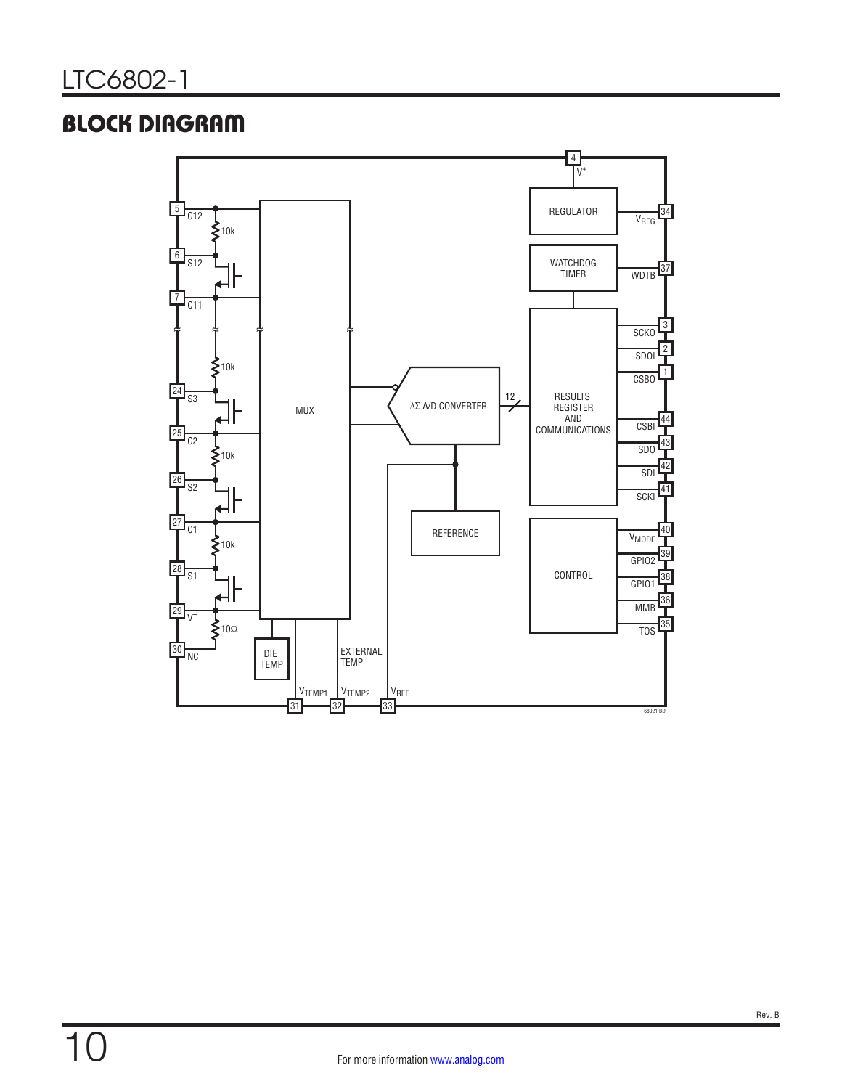## <span id="page-9-0"></span>BLOCK DIAGRAM

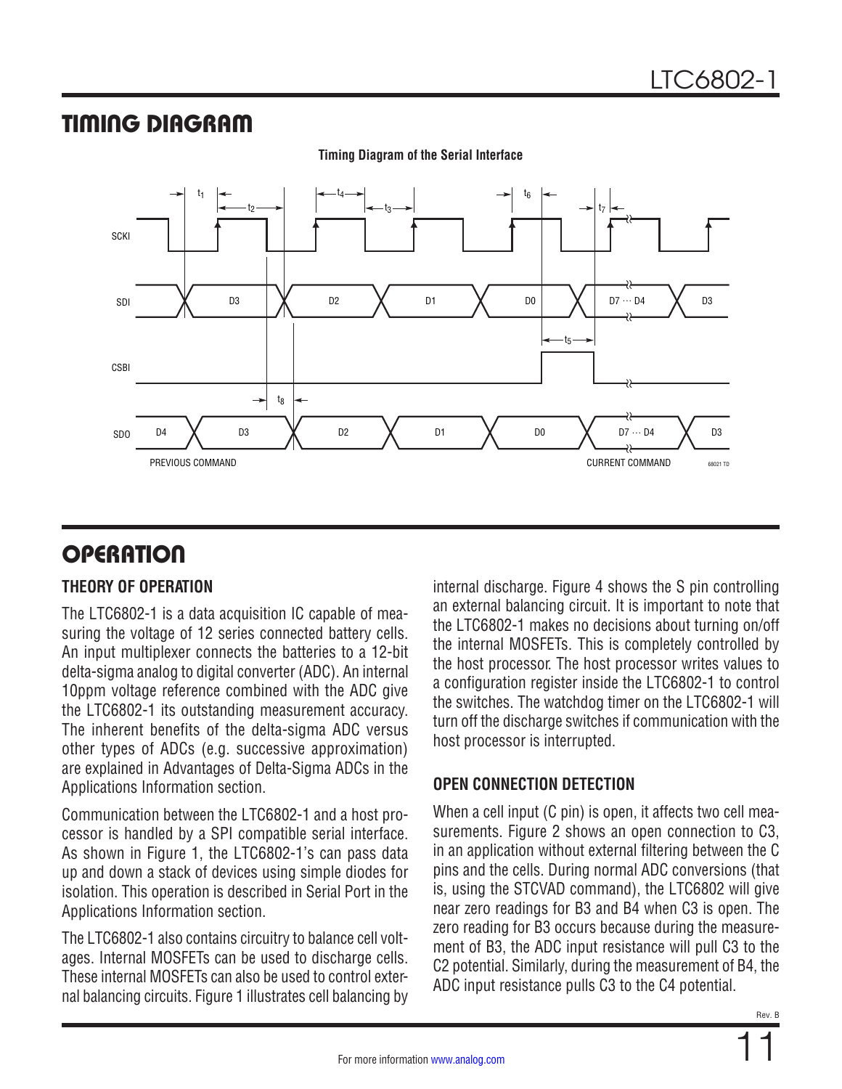## TIMING DIAGRAM



**Timing Diagram of the Serial Interface**

## <span id="page-10-1"></span>**OPERATION**

### **THEORY OF OPERATION**

The LTC6802-1 is a data acquisition IC capable of measuring the voltage of 12 series connected battery cells. An input multiplexer connects the batteries to a 12-bit delta-sigma analog to digital converter (ADC). An internal 10ppm voltage reference combined with the ADC give the LTC6802-1 its outstanding measurement accuracy. The inherent benefits of the delta-sigma ADC versus other types of ADCs (e.g. successive approximation) are explained in Advantages of Delta-Sigma ADCs in the [Applications Information](#page-15-0) section.

Communication between the LTC6802-1 and a host processor is handled by a SPI compatible serial interface. As shown in [Figure 1](#page-11-0), the LTC6802-1's can pass data up and down a stack of devices using simple diodes for isolation. This operation is described in Serial Port in the [Applications Information](#page-15-0) section.

The LTC6802-1 also contains circuitry to balance cell voltages. Internal MOSFETs can be used to discharge cells. These internal MOSFETs can also be used to control external balancing circuits. [Figure 1](#page-11-0) illustrates cell balancing by internal discharge. [Figure 4](#page-13-0) shows the S pin controlling an external balancing circuit. It is important to note that the LTC6802-1 makes no decisions about turning on/off the internal MOSFETs. This is completely controlled by the host processor. The host processor writes values to a configuration register inside the LTC6802-1 to control the switches. The watchdog timer on the LTC6802-1 will turn off the discharge switches if communication with the host processor is interrupted.

### <span id="page-10-0"></span>**OPEN CONNECTION DETECTION**

When a cell input (C pin) is open, it affects two cell measurements. [Figure 2](#page-12-0) shows an open connection to C3, in an application without external filtering between the C pins and the cells. During normal ADC conversions (that is, using the STCVAD command), the LTC6802 will give near zero readings for B3 and B4 when C3 is open. The zero reading for B3 occurs because during the measurement of B3, the ADC input resistance will pull C3 to the C2 potential. Similarly, during the measurement of B4, the ADC input resistance pulls C3 to the C4 potential.

11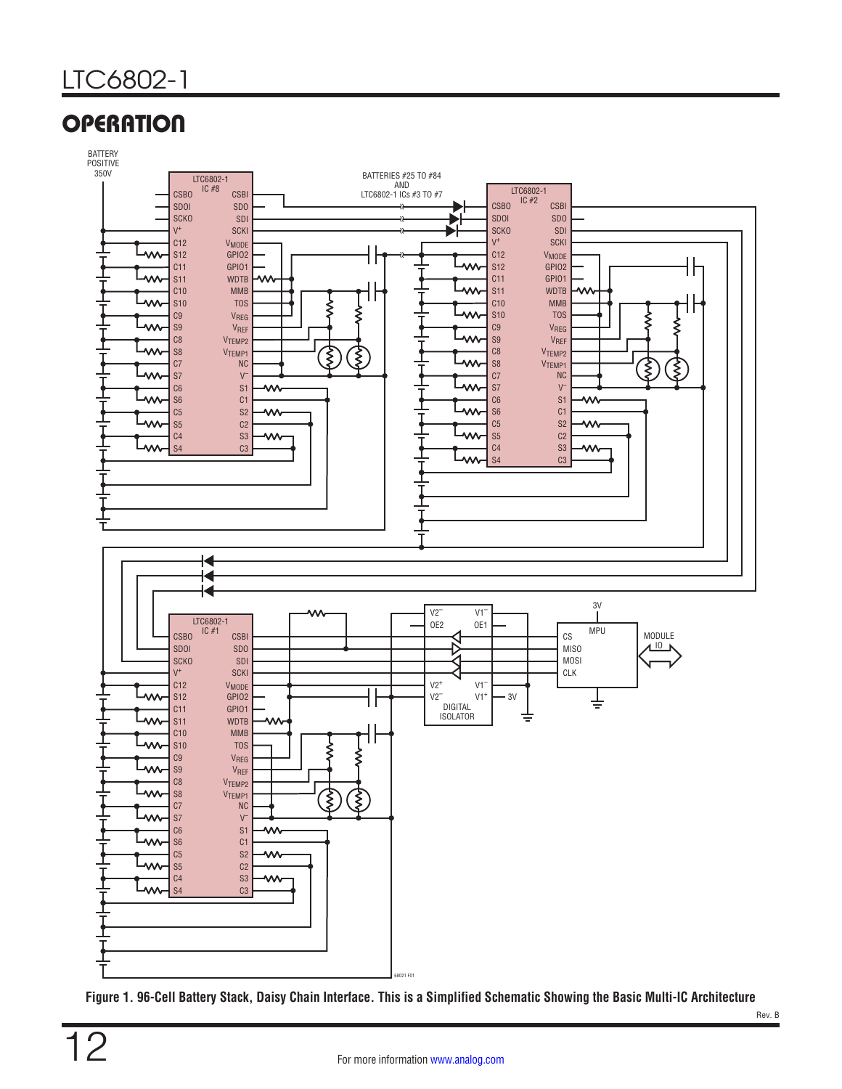

<span id="page-11-0"></span>**Figure 1. 96-Cell Battery Stack, Daisy Chain Interface. This is a Simplified Schematic Showing the Basic Multi-IC Architecture**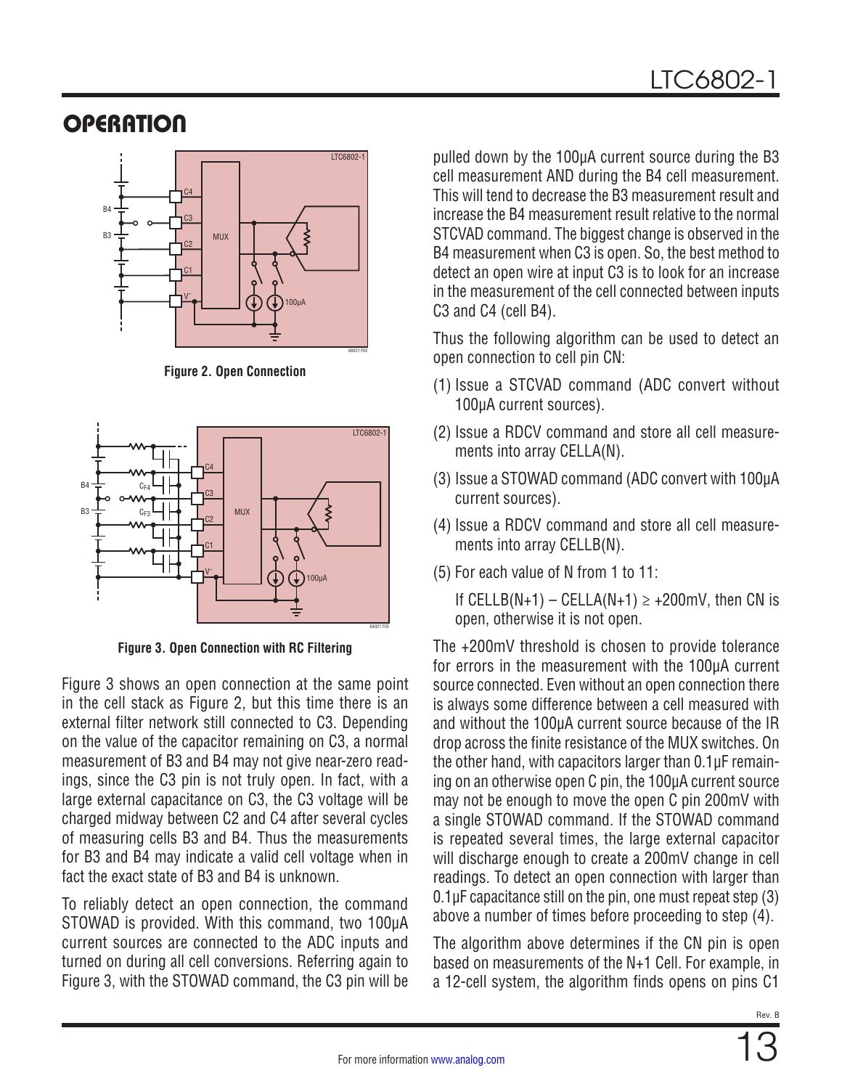

**Figure 2. Open Connection**



**Figure 3. Open Connection with RC Filtering**

[Figure 3](#page-12-1) shows an open connection at the same point in the cell stack as [Figure 2](#page-12-0), but this time there is an external filter network still connected to C3. Depending on the value of the capacitor remaining on C3, a normal measurement of B3 and B4 may not give near-zero readings, since the C3 pin is not truly open. In fact, with a large external capacitance on C3, the C3 voltage will be charged midway between C2 and C4 after several cycles of measuring cells B3 and B4. Thus the measurements for B3 and B4 may indicate a valid cell voltage when in fact the exact state of B3 and B4 is unknown.

To reliably detect an open connection, the command STOWAD is provided. With this command, two 100µA current sources are connected to the ADC inputs and turned on during all cell conversions. Referring again to [Figure 3](#page-12-1), with the STOWAD command, the C3 pin will be pulled down by the 100µA current source during the B3 cell measurement AND during the B4 cell measurement. This will tend to decrease the B3 measurement result and increase the B4 measurement result relative to the normal STCVAD command. The biggest change is observed in the B4 measurement when C3 is open. So, the best method to detect an open wire at input C3 is to look for an increase in the measurement of the cell connected between inputs C3 and C4 (cell B4).

Thus the following algorithm can be used to detect an open connection to cell pin CN:

- <span id="page-12-0"></span>(1) Issue a STCVAD command (ADC convert without 100µA current sources).
- (2) Issue a RDCV command and store all cell measurements into array CELLA(N).
- (3) Issue a STOWAD command (ADC convert with 100µA current sources).
- (4) Issue a RDCV command and store all cell measurements into array CELLB(N).
- (5) For each value of N from 1 to 11:

If CELLB(N+1) – CELLA(N+1)  $\ge$  +200mV, then CN is open, otherwise it is not open.

<span id="page-12-1"></span>The +200mV threshold is chosen to provide tolerance for errors in the measurement with the 100µA current source connected. Even without an open connection there is always some difference between a cell measured with and without the 100µA current source because of the IR drop across the finite resistance of the MUX switches. On the other hand, with capacitors larger than 0.1µF remaining on an otherwise open C pin, the 100µA current source may not be enough to move the open C pin 200mV with a single STOWAD command. If the STOWAD command is repeated several times, the large external capacitor will discharge enough to create a 200mV change in cell readings. To detect an open connection with larger than 0.1µF capacitance still on the pin, one must repeat step (3) above a number of times before proceeding to step (4).

The algorithm above determines if the CN pin is open based on measurements of the N+1 Cell. For example, in a 12-cell system, the algorithm finds opens on pins C1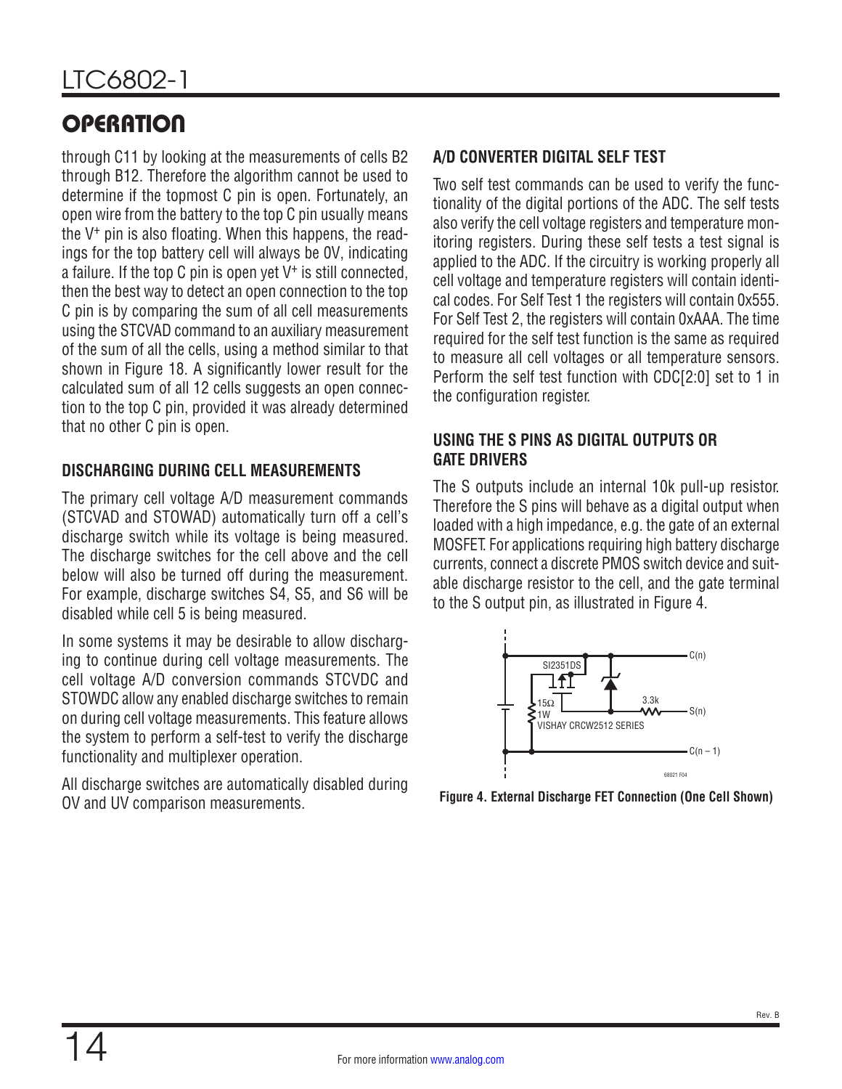through C11 by looking at the measurements of cells B2 through B12. Therefore the algorithm cannot be used to determine if the topmost C pin is open. Fortunately, an open wire from the battery to the top C pin usually means the V+ pin is also floating. When this happens, the readings for the top battery cell will always be 0V, indicating a failure. If the top  $C$  pin is open yet  $V^+$  is still connected, then the best way to detect an open connection to the top C pin is by comparing the sum of all cell measurements using the STCVAD command to an auxiliary measurement of the sum of all the cells, using a method similar to that shown in [Figure 18.](#page-31-0) A significantly lower result for the calculated sum of all 12 cells suggests an open connection to the top C pin, provided it was already determined that no other C pin is open.

### **DISCHARGING DURING CELL MEASUREMENTS**

The primary cell voltage A/D measurement commands (STCVAD and STOWAD) automatically turn off a cell's discharge switch while its voltage is being measured. The discharge switches for the cell above and the cell below will also be turned off during the measurement. For example, discharge switches S4, S5, and S6 will be disabled while cell 5 is being measured.

In some systems it may be desirable to allow discharging to continue during cell voltage measurements. The cell voltage A/D conversion commands STCVDC and STOWDC allow any enabled discharge switches to remain on during cell voltage measurements. This feature allows the system to perform a self-test to verify the discharge functionality and multiplexer operation.

All discharge switches are automatically disabled during OV and UV comparison measurements.

### **A/D CONVERTER DIGITAL SELF TEST**

Two self test commands can be used to verify the functionality of the digital portions of the ADC. The self tests also verify the cell voltage registers and temperature monitoring registers. During these self tests a test signal is applied to the ADC. If the circuitry is working properly all cell voltage and temperature registers will contain identical codes. For Self Test 1 the registers will contain 0x555. For Self Test 2, the registers will contain 0xAAA. The time required for the self test function is the same as required to measure all cell voltages or all temperature sensors. Perform the self test function with CDC[2:0] set to 1 in the configuration register.

### **USING THE S PINS AS DIGITAL OUTPUTS OR GATE DRIVERS**

The S outputs include an internal 10k pull-up resistor. Therefore the S pins will behave as a digital output when loaded with a high impedance, e.g. the gate of an external MOSFET. For applications requiring high battery discharge currents, connect a discrete PMOS switch device and suitable discharge resistor to the cell, and the gate terminal to the S output pin, as illustrated in [Figure 4.](#page-13-0)



<span id="page-13-0"></span>**Figure 4. External Discharge FET Connection (One Cell Shown)**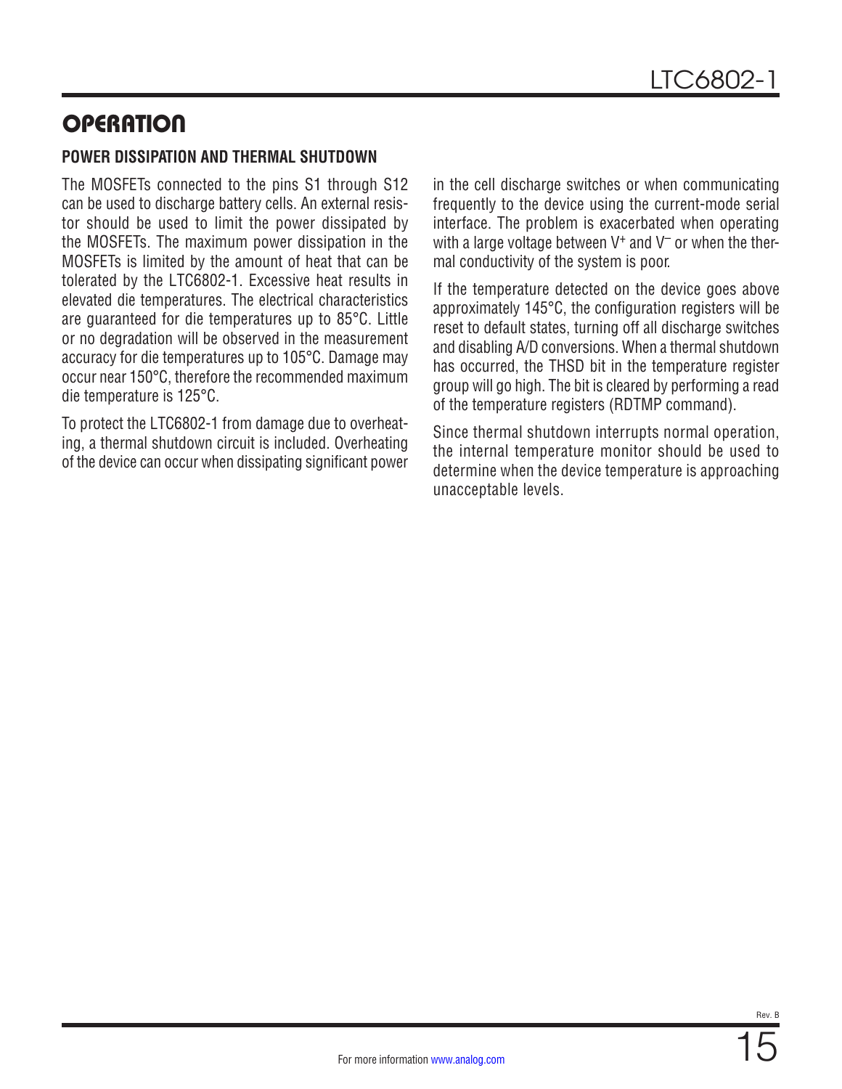### **POWER DISSIPATION AND THERMAL SHUTDOWN**

The MOSFETs connected to the pins S1 through S12 can be used to discharge battery cells. An external resistor should be used to limit the power dissipated by the MOSFETs. The maximum power dissipation in the MOSFETs is limited by the amount of heat that can be tolerated by the LTC6802-1. Excessive heat results in elevated die temperatures. The electrical characteristics are guaranteed for die temperatures up to 85°C. Little or no degradation will be observed in the measurement accuracy for die temperatures up to 105°C. Damage may occur near 150°C, therefore the recommended maximum die temperature is 125°C.

To protect the LTC6802-1 from damage due to overheating, a thermal shutdown circuit is included. Overheating of the device can occur when dissipating significant power in the cell discharge switches or when communicating frequently to the device using the current-mode serial interface. The problem is exacerbated when operating with a large voltage between  $V^+$  and  $V^-$  or when the thermal conductivity of the system is poor.

If the temperature detected on the device goes above approximately 145°C, the configuration registers will be reset to default states, turning off all discharge switches and disabling A/D conversions. When a thermal shutdown has occurred, the THSD bit in the temperature register group will go high. The bit is cleared by performing a read of the temperature registers (RDTMP command).

Since thermal shutdown interrupts normal operation, the internal temperature monitor should be used to determine when the device temperature is approaching unacceptable levels.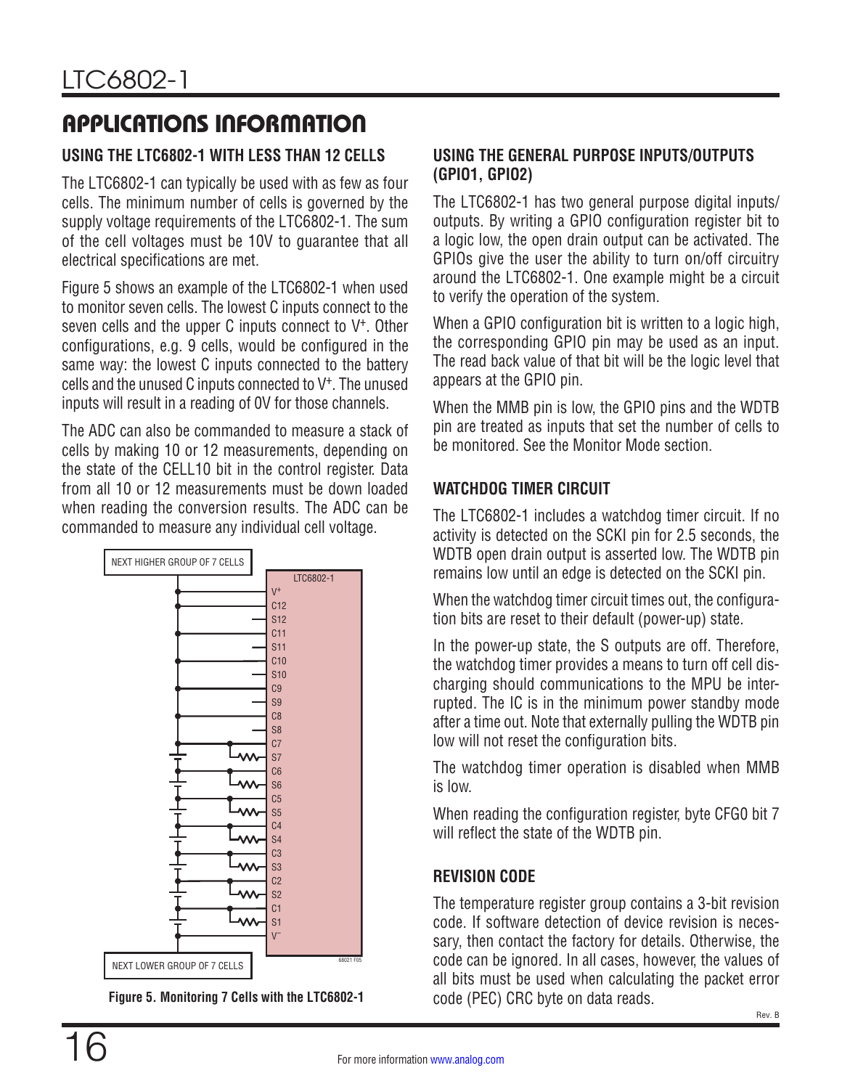### <span id="page-15-0"></span>**USING THE LTC6802-1 WITH LESS THAN 12 CELLS**

The LTC6802-1 can typically be used with as few as four cells. The minimum number of cells is governed by the supply voltage requirements of the LTC6802-1. The sum of the cell voltages must be 10V to guarantee that all electrical specifications are met.

[Figure 5](#page-15-1) shows an example of the LTC6802-1 when used to monitor seven cells. The lowest C inputs connect to the seven cells and the upper C inputs connect to V<sup>+</sup>. Other configurations, e.g. 9 cells, would be configured in the same way: the lowest C inputs connected to the battery cells and the unused C inputs connected to V+. The unused inputs will result in a reading of 0V for those channels.

The ADC can also be commanded to measure a stack of cells by making 10 or 12 measurements, depending on the state of the CELL10 bit in the control register. Data from all 10 or 12 measurements must be down loaded when reading the conversion results. The ADC can be commanded to measure any individual cell voltage.



<span id="page-15-1"></span>**Figure 5. Monitoring 7 Cells with the LTC6802-1**

### **USING THE GENERAL PURPOSE INPUTS/OUTPUTS (GPIO1, GPIO2)**

The LTC6802-1 has two general purpose digital inputs/ outputs. By writing a GPIO configuration register bit to a logic low, the open drain output can be activated. The GPIOs give the user the ability to turn on/off circuitry around the LTC6802-1. One example might be a circuit to verify the operation of the system.

When a GPIO configuration bit is written to a logic high, the corresponding GPIO pin may be used as an input. The read back value of that bit will be the logic level that appears at the GPIO pin.

When the MMB pin is low, the GPIO pins and the WDTB pin are treated as inputs that set the number of cells to be monitored. See the [Monitor Mode](#page-16-1) section.

### **WATCHDOG TIMER CIRCUIT**

The LTC6802-1 includes a watchdog timer circuit. If no activity is detected on the SCKI pin for 2.5 seconds, the WDTB open drain output is asserted low. The WDTB pin remains low until an edge is detected on the SCKI pin.

When the watchdog timer circuit times out, the configuration bits are reset to their default (power-up) state.

In the power-up state, the S outputs are off. Therefore, the watchdog timer provides a means to turn off cell discharging should communications to the MPU be interrupted. The IC is in the minimum power standby mode after a time out. Note that externally pulling the WDTB pin low will not reset the configuration bits.

The watchdog timer operation is disabled when MMB is low.

When reading the configuration register, byte CFG0 bit 7 will reflect the state of the WDTB pin.

### **REVISION CODE**

The temperature register group contains a 3-bit revision code. If software detection of device revision is necessary, then contact the factory for details. Otherwise, the code can be ignored. In all cases, however, the values of all bits must be used when calculating the packet error code (PEC) CRC byte on data reads.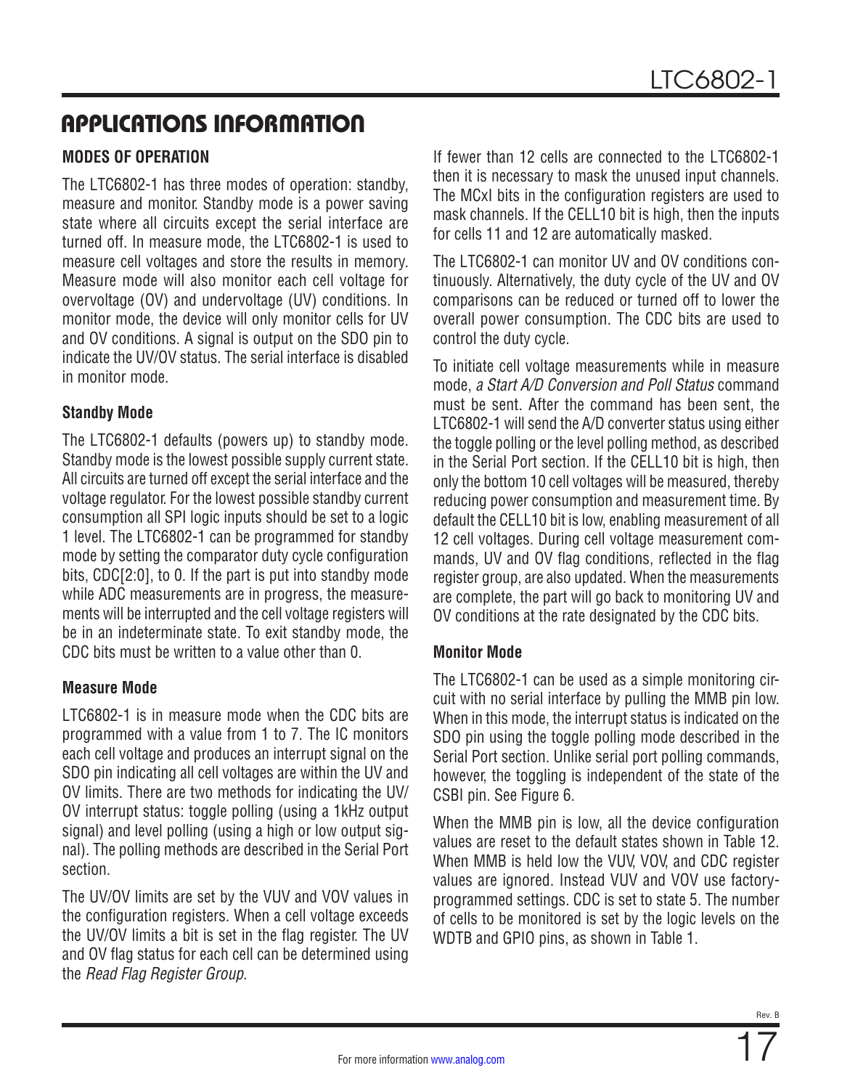### <span id="page-16-0"></span>**MODES OF OPERATION**

The LTC6802-1 has three modes of operation: standby, measure and monitor. Standby mode is a power saving state where all circuits except the serial interface are turned off. In measure mode, the LTC6802-1 is used to measure cell voltages and store the results in memory. Measure mode will also monitor each cell voltage for overvoltage (OV) and undervoltage (UV) conditions. In monitor mode, the device will only monitor cells for UV and OV conditions. A signal is output on the SDO pin to indicate the UV/OV status. The serial interface is disabled in monitor mode.

### **Standby Mode**

The LTC6802-1 defaults (powers up) to standby mode. Standby mode is the lowest possible supply current state. All circuits are turned off except the serial interface and the voltage regulator. For the lowest possible standby current consumption all SPI logic inputs should be set to a logic 1 level. The LTC6802-1 can be programmed for standby mode by setting the comparator duty cycle configuration bits, CDC[2:0], to 0. If the part is put into standby mode while ADC measurements are in progress, the measurements will be interrupted and the cell voltage registers will be in an indeterminate state. To exit standby mode, the CDC bits must be written to a value other than 0.

### **Measure Mode**

LTC6802-1 is in measure mode when the CDC bits are programmed with a value from 1 to 7. The IC monitors each cell voltage and produces an interrupt signal on the SDO pin indicating all cell voltages are within the UV and OV limits. There are two methods for indicating the UV/ OV interrupt status: toggle polling (using a 1kHz output signal) and level polling (using a high or low output signal). The polling methods are described in the [Serial Port](#page-18-0) section.

The UV/OV limits are set by the VUV and VOV values in the configuration registers. When a cell voltage exceeds the UV/OV limits a bit is set in the flag register. The UV and OV flag status for each cell can be determined using the *Read Flag Register Group*.

If fewer than 12 cells are connected to the LTC6802-1 then it is necessary to mask the unused input channels. The MCxI bits in the configuration registers are used to mask channels. If the CELL10 bit is high, then the inputs for cells 11 and 12 are automatically masked.

The LTC6802-1 can monitor UV and OV conditions continuously. Alternatively, the duty cycle of the UV and OV comparisons can be reduced or turned off to lower the overall power consumption. The CDC bits are used to control the duty cycle.

To initiate cell voltage measurements while in measure mode, *a Start A/D Conversion and Poll Status* command must be sent. After the command has been sent, the LTC6802-1 will send the A/D converter status using either the toggle polling or the level polling method, as described in the [Serial Port](#page-18-0) section. If the CELL10 bit is high, then only the bottom 10 cell voltages will be measured, thereby reducing power consumption and measurement time. By default the CELL10 bit is low, enabling measurement of all 12 cell voltages. During cell voltage measurement commands, UV and OV flag conditions, reflected in the flag register group, are also updated. When the measurements are complete, the part will go back to monitoring UV and OV conditions at the rate designated by the CDC bits.

### <span id="page-16-1"></span>**Monitor Mode**

The LTC6802-1 can be used as a simple monitoring circuit with no serial interface by pulling the MMB pin low. When in this mode, the interrupt status is indicated on the SDO pin using the toggle polling mode described in the [Serial Port](#page-18-0) section. Unlike serial port polling commands, however, the toggling is independent of the state of the CSBI pin. See [Figure 6](#page-17-0).

When the MMB pin is low, all the device configuration values are reset to the default states shown in [Table 12](#page-25-0). When MMB is held low the VUV, VOV, and CDC register values are ignored. Instead VUV and VOV use factoryprogrammed settings. CDC is set to state 5. The number of cells to be monitored is set by the logic levels on the WDTB and GPIO pins, as shown in [Table 1](#page-18-1).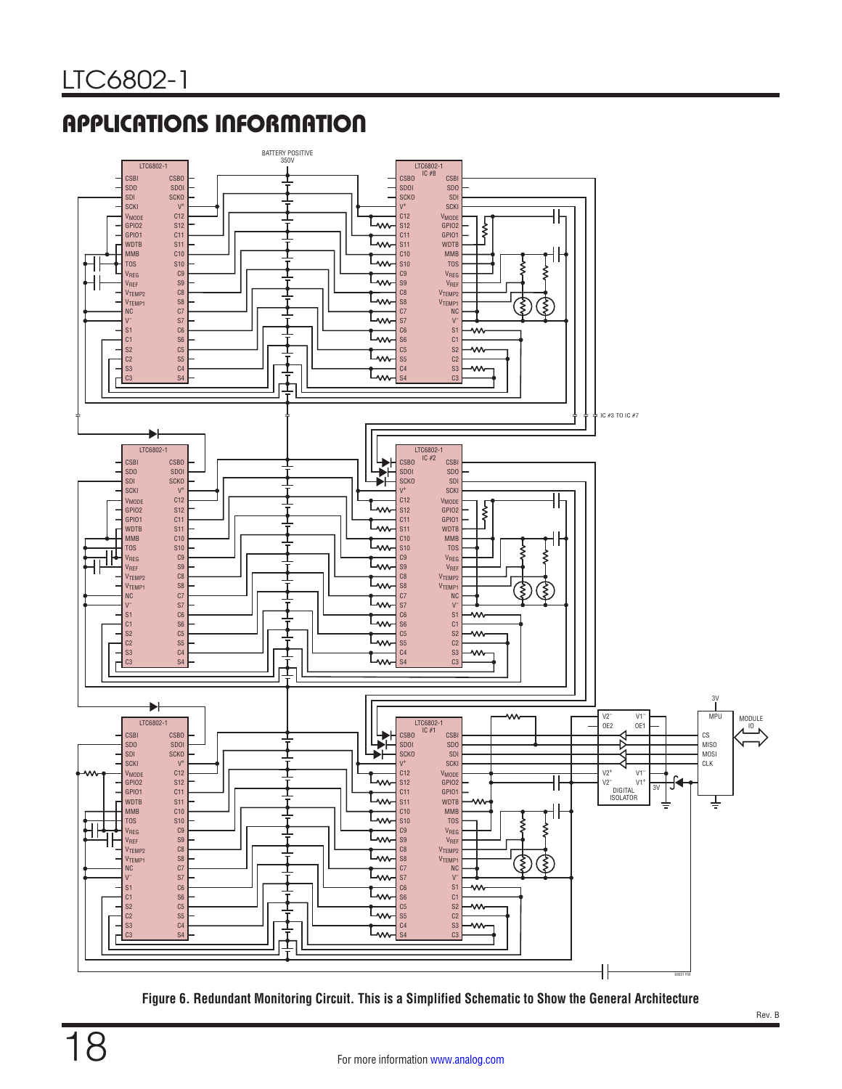

<span id="page-17-0"></span>**Figure 6. Redundant Monitoring Circuit. This is a Simplified Schematic to Show the General Architecture**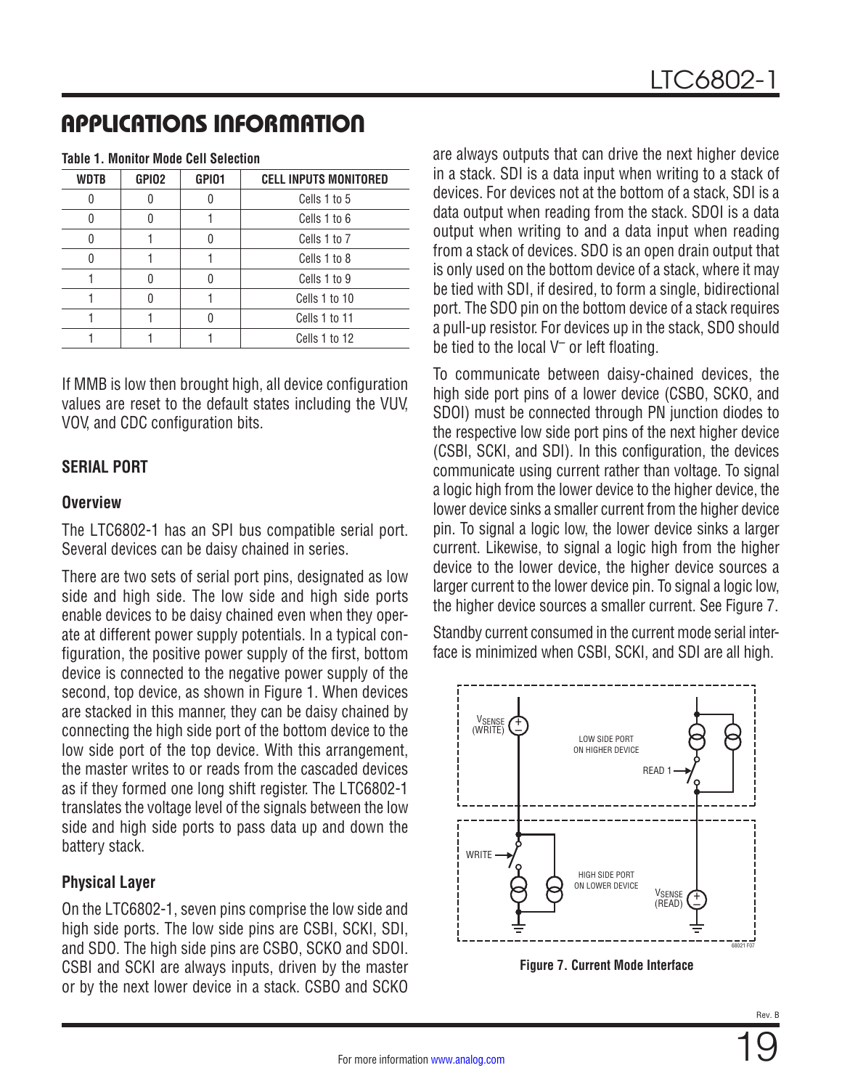| <b>WDTB</b> | GPIO <sub>2</sub> | GPI01 | <b>CELL INPUTS MONITORED</b> |
|-------------|-------------------|-------|------------------------------|
|             |                   |       | Cells 1 to 5                 |
|             |                   |       | Cells 1 to 6                 |
|             |                   |       | Cells 1 to 7                 |
|             |                   |       | Cells 1 to 8                 |
|             |                   |       | Cells 1 to 9                 |
|             |                   |       | Cells 1 to 10                |
|             |                   |       | Cells 1 to 11                |
|             |                   |       | Cells 1 to 12                |

<span id="page-18-1"></span>**Table 1. Monitor Mode Cell Selection**

If MMB is low then brought high, all device configuration values are reset to the default states including the VUV, VOV, and CDC configuration bits.

### <span id="page-18-0"></span>**SERIAL PORT**

### **Overview**

The LTC6802-1 has an SPI bus compatible serial port. Several devices can be daisy chained in series.

There are two sets of serial port pins, designated as low side and high side. The low side and high side ports enable devices to be daisy chained even when they operate at different power supply potentials. In a typical configuration, the positive power supply of the first, bottom device is connected to the negative power supply of the second, top device, as shown in [Figure 1.](#page-11-0) When devices are stacked in this manner, they can be daisy chained by connecting the high side port of the bottom device to the low side port of the top device. With this arrangement, the master writes to or reads from the cascaded devices as if they formed one long shift register. The LTC6802-1 translates the voltage level of the signals between the low side and high side ports to pass data up and down the battery stack.

### **Physical Layer**

On the LTC6802-1, seven pins comprise the low side and high side ports. The low side pins are CSBI, SCKI, SDI, and SDO. The high side pins are CSBO, SCKO and SDOI. CSBI and SCKI are always inputs, driven by the master or by the next lower device in a stack. CSBO and SCKO

are always outputs that can drive the next higher device in a stack. SDI is a data input when writing to a stack of devices. For devices not at the bottom of a stack, SDI is a data output when reading from the stack. SDOI is a data output when writing to and a data input when reading from a stack of devices. SDO is an open drain output that is only used on the bottom device of a stack, where it may be tied with SDI, if desired, to form a single, bidirectional port. The SDO pin on the bottom device of a stack requires a pull-up resistor. For devices up in the stack, SDO should be tied to the local  $V^-$  or left floating.

To communicate between daisy-chained devices, the high side port pins of a lower device (CSBO, SCKO, and SDOI) must be connected through PN junction diodes to the respective low side port pins of the next higher device (CSBI, SCKI, and SDI). In this configuration, the devices communicate using current rather than voltage. To signal a logic high from the lower device to the higher device, the lower device sinks a smaller current from the higher device pin. To signal a logic low, the lower device sinks a larger current. Likewise, to signal a logic high from the higher device to the lower device, the higher device sources a larger current to the lower device pin. To signal a logic low, the higher device sources a smaller current. See [Figure 7](#page-18-2).

Standby current consumed in the current mode serial interface is minimized when CSBI, SCKI, and SDI are all high.



<span id="page-18-2"></span>**Figure 7. Current Mode Interface**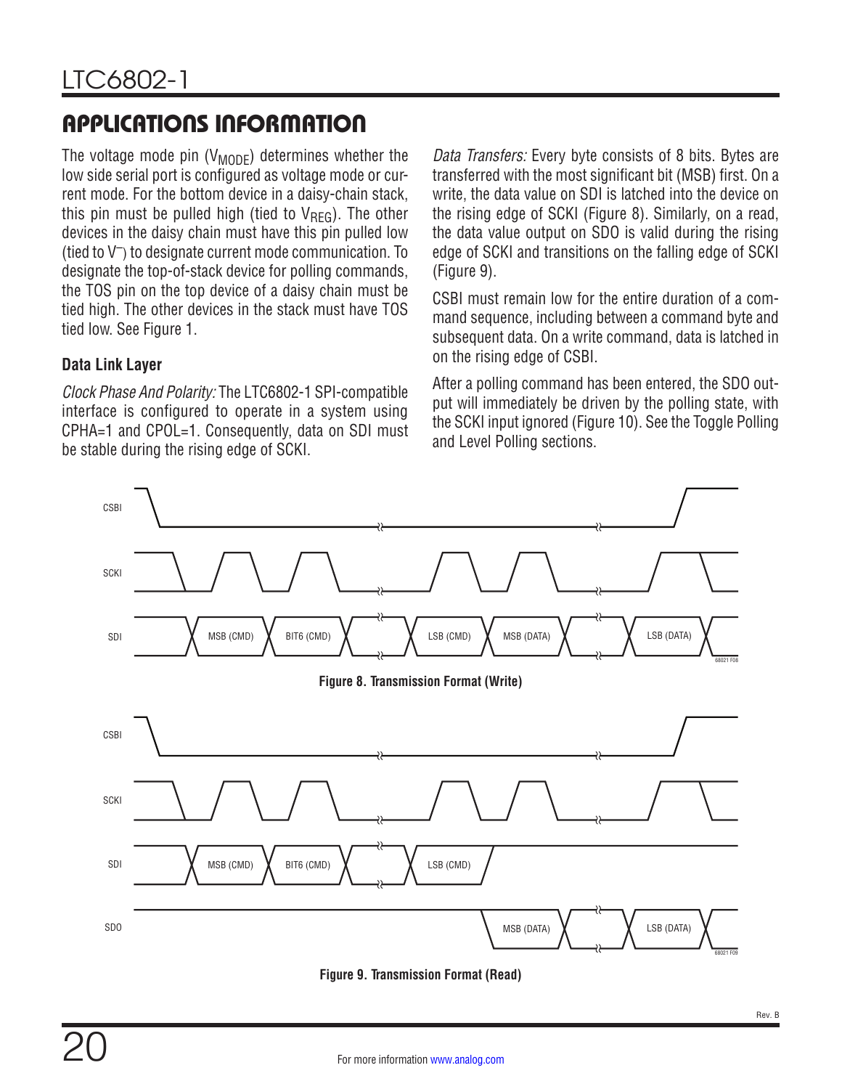The voltage mode pin  $(V_{MODE})$  determines whether the low side serial port is configured as voltage mode or current mode. For the bottom device in a daisy-chain stack, this pin must be pulled high (tied to  $V_{\text{RFG}}$ ). The other devices in the daisy chain must have this pin pulled low (tied to V–) to designate current mode communication. To designate the top-of-stack device for polling commands, the TOS pin on the top device of a daisy chain must be tied high. The other devices in the stack must have TOS tied low. See [Figure 1.](#page-11-0)

### **Data Link Layer**

*Clock Phase And Polarity:* The LTC6802-1 SPI-compatible interface is configured to operate in a system using CPHA=1 and CPOL=1. Consequently, data on SDI must be stable during the rising edge of SCKI.

*Data Transfers:* Every byte consists of 8 bits. Bytes are transferred with the most significant bit (MSB) first. On a write, the data value on SDI is latched into the device on the rising edge of SCKI [\(Figure 8](#page-19-0)). Similarly, on a read, the data value output on SDO is valid during the rising edge of SCKI and transitions on the falling edge of SCKI [\(Figure 9\)](#page-19-1).

CSBI must remain low for the entire duration of a command sequence, including between a command byte and subsequent data. On a write command, data is latched in on the rising edge of CSBI.

<span id="page-19-0"></span>After a polling command has been entered, the SDO output will immediately be driven by the polling state, with the SCKI input ignored ([Figure 10\)](#page-20-0). See the Toggle Polling and Level Polling sections.



<span id="page-19-1"></span>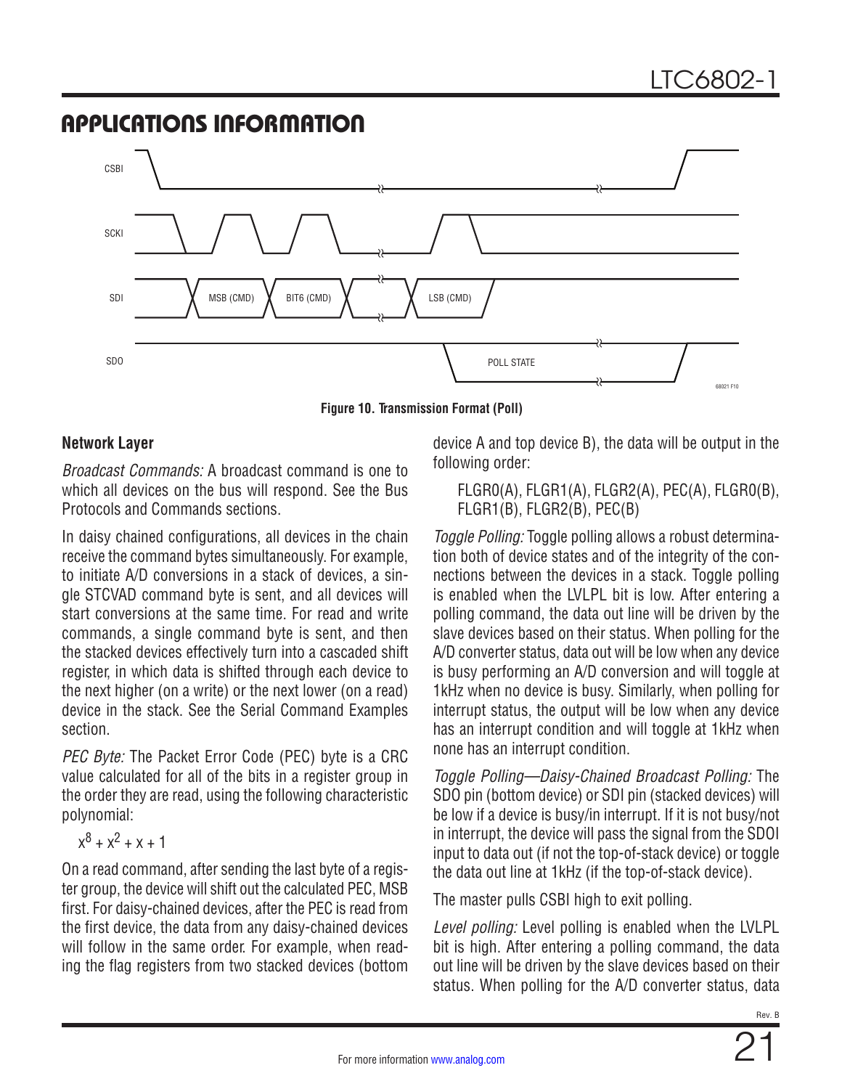

**Figure 10. Transmission Format (Poll)**

### **Network Layer**

*Broadcast Commands:* A broadcast command is one to which all devices on the bus will respond. See the [Bus](#page-21-0) [Protocols](#page-21-0) and [Commands](#page-22-0) sections.

In daisy chained configurations, all devices in the chain receive the command bytes simultaneously. For example, to initiate A/D conversions in a stack of devices, a single STCVAD command byte is sent, and all devices will start conversions at the same time. For read and write commands, a single command byte is sent, and then the stacked devices effectively turn into a cascaded shift register, in which data is shifted through each device to the next higher (on a write) or the next lower (on a read) device in the stack. See the [Serial Command Examples](#page-26-0) section.

*PEC Byte:* The Packet Error Code (PEC) byte is a CRC value calculated for all of the bits in a register group in the order they are read, using the following characteristic polynomial:

$$
x^8 + x^2 + x + 1
$$

On a read command, after sending the last byte of a register group, the device will shift out the calculated PEC, MSB first. For daisy-chained devices, after the PEC is read from the first device, the data from any daisy-chained devices will follow in the same order. For example, when reading the flag registers from two stacked devices (bottom device A and top device B), the data will be output in the following order:

<span id="page-20-0"></span>FLGR0(A), FLGR1(A), FLGR2(A), PEC(A), FLGR0(B), FLGR1(B), FLGR2(B), PEC(B)

*Toggle Polling:* Toggle polling allows a robust determination both of device states and of the integrity of the connections between the devices in a stack. Toggle polling is enabled when the LVLPL bit is low. After entering a polling command, the data out line will be driven by the slave devices based on their status. When polling for the A/D converter status, data out will be low when any device is busy performing an A/D conversion and will toggle at 1kHz when no device is busy. Similarly, when polling for interrupt status, the output will be low when any device has an interrupt condition and will toggle at 1kHz when none has an interrupt condition.

*Toggle Polling—Daisy-Chained Broadcast Polling:* The SDO pin (bottom device) or SDI pin (stacked devices) will be low if a device is busy/in interrupt. If it is not busy/not in interrupt, the device will pass the signal from the SDOI input to data out (if not the top-of-stack device) or toggle the data out line at 1kHz (if the top-of-stack device).

The master pulls CSBI high to exit polling.

*Level polling:* Level polling is enabled when the LVLPL bit is high. After entering a polling command, the data out line will be driven by the slave devices based on their status. When polling for the A/D converter status, data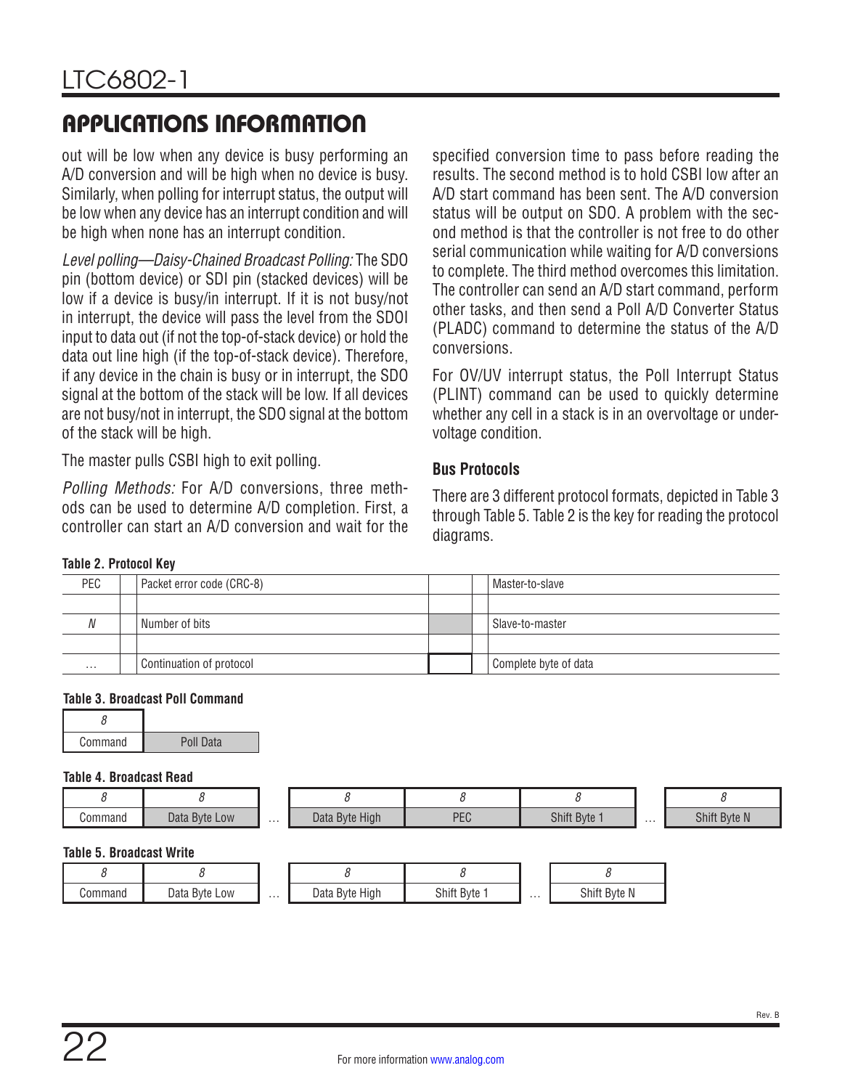out will be low when any device is busy performing an A/D conversion and will be high when no device is busy. Similarly, when polling for interrupt status, the output will be low when any device has an interrupt condition and will be high when none has an interrupt condition.

*Level polling—Daisy-Chained Broadcast Polling:* The SDO pin (bottom device) or SDI pin (stacked devices) will be low if a device is busy/in interrupt. If it is not busy/not in interrupt, the device will pass the level from the SDOI input to data out (if not the top-of-stack device) or hold the data out line high (if the top-of-stack device). Therefore, if any device in the chain is busy or in interrupt, the SDO signal at the bottom of the stack will be low. If all devices are not busy/not in interrupt, the SDO signal at the bottom of the stack will be high.

The master pulls CSBI high to exit polling.

*Polling Methods:* For A/D conversions, three methods can be used to determine A/D completion. First, a controller can start an A/D conversion and wait for the

specified conversion time to pass before reading the results. The second method is to hold CSBI low after an A/D start command has been sent. The A/D conversion status will be output on SDO. A problem with the second method is that the controller is not free to do other serial communication while waiting for A/D conversions to complete. The third method overcomes this limitation. The controller can send an A/D start command, perform other tasks, and then send a Poll A/D Converter Status (PLADC) command to determine the status of the A/D conversions.

For OV/UV interrupt status, the Poll Interrupt Status (PLINT) command can be used to quickly determine whether any cell in a stack is in an overvoltage or undervoltage condition.

### <span id="page-21-0"></span>**Bus Protocols**

There are 3 different protocol formats, depicted in [Table 3](#page-21-1) through [Table 5.](#page-21-2) [Table 2](#page-21-3) is the key for reading the protocol diagrams.

#### <span id="page-21-3"></span>**Table 2. Protocol Key**

| PEC      | Packet error code (CRC-8) |  | Master-to-slave       |
|----------|---------------------------|--|-----------------------|
|          |                           |  |                       |
| N        | Number of bits            |  | Slave-to-master       |
|          |                           |  |                       |
| $\cdots$ | Continuation of protocol  |  | Complete byte of data |

#### <span id="page-21-1"></span>**Table 3. Broadcast Poll Command**

| Command | Poll Data |
|---------|-----------|

#### **Table 4. Broadcast Read**

| Command | ിച<br>Bvte Low<br>Dala r | . | <b>Byte High</b><br>Dala | DEC<br>⊥∪ | Shift Byte | . | Shift<br><b>Byte N</b> |
|---------|--------------------------|---|--------------------------|-----------|------------|---|------------------------|

#### <span id="page-21-2"></span>**Table 5. Broadcast Write**

| Command | Data<br>Byte Low | . | High<br>Data<br>Byte | Shift<br>Bvte | . | Shift<br>Byte N |
|---------|------------------|---|----------------------|---------------|---|-----------------|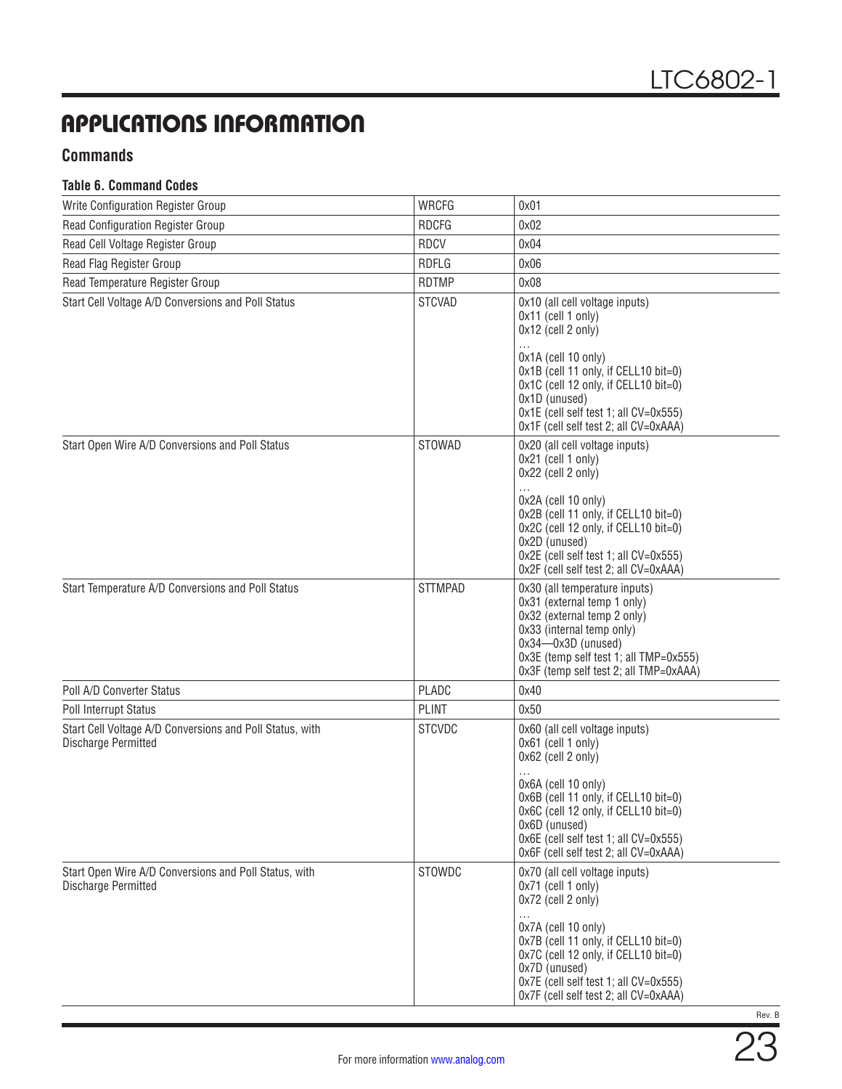### <span id="page-22-0"></span>**Commands**

#### **Table 6. Command Codes**

| Write Configuration Register Group                                              | <b>WRCFG</b>   | 0x01                                                                                                                                                                                                                                                                                                 |
|---------------------------------------------------------------------------------|----------------|------------------------------------------------------------------------------------------------------------------------------------------------------------------------------------------------------------------------------------------------------------------------------------------------------|
| Read Configuration Register Group                                               | <b>RDCFG</b>   | 0x02                                                                                                                                                                                                                                                                                                 |
| Read Cell Voltage Register Group                                                | <b>RDCV</b>    | 0x04                                                                                                                                                                                                                                                                                                 |
| Read Flag Register Group                                                        | <b>RDFLG</b>   | 0x06                                                                                                                                                                                                                                                                                                 |
| Read Temperature Register Group                                                 | <b>RDTMP</b>   | 0x08                                                                                                                                                                                                                                                                                                 |
| Start Cell Voltage A/D Conversions and Poll Status                              | <b>STCVAD</b>  | 0x10 (all cell voltage inputs)<br>$0x11$ (cell 1 only)<br>$0x12$ (cell 2 only)<br>$\cdots$<br>0x1A (cell 10 only)<br>0x1B (cell 11 only, if CELL10 bit=0)<br>0x1C (cell 12 only, if CELL10 bit=0)<br>Ox1D (unused)<br>0x1E (cell self test 1; all CV=0x555)<br>0x1F (cell self test 2; all CV=0xAAA) |
| Start Open Wire A/D Conversions and Poll Status                                 | STOWAD         | 0x20 (all cell voltage inputs)<br>0x21 (cell 1 only)<br>0x22 (cell 2 only)<br>0x2A (cell 10 only)<br>0x2B (cell 11 only, if CELL10 bit=0)<br>0x2C (cell 12 only, if CELL10 bit=0)<br>0x2D (unused)<br>0x2E (cell self test 1; all CV=0x555)<br>0x2F (cell self test 2; all CV=0xAAA)                 |
| Start Temperature A/D Conversions and Poll Status                               | <b>STTMPAD</b> | 0x30 (all temperature inputs)<br>0x31 (external temp 1 only)<br>0x32 (external temp 2 only)<br>0x33 (internal temp only)<br>$0x34 - 0x3D$ (unused)<br>0x3E (temp self test 1; all TMP=0x555)<br>0x3F (temp self test 2; all TMP=0xAAA)                                                               |
| Poll A/D Converter Status                                                       | PLADC          | 0x40                                                                                                                                                                                                                                                                                                 |
| <b>Poll Interrupt Status</b>                                                    | <b>PLINT</b>   | 0x50                                                                                                                                                                                                                                                                                                 |
| Start Cell Voltage A/D Conversions and Poll Status, with<br>Discharge Permitted | <b>STCVDC</b>  | 0x60 (all cell voltage inputs)<br>0x61 (cell 1 only)<br>$0x62$ (cell 2 only)<br>0x6A (cell 10 only)<br>0x6B (cell 11 only, if CELL10 bit=0)<br>0x6C (cell 12 only, if CELL10 bit=0)<br>Ox6D (unused)<br>0x6E (cell self test 1; all CV=0x555)<br>0x6F (cell self test 2; all CV=0xAAA)               |
| Start Open Wire A/D Conversions and Poll Status, with<br>Discharge Permitted    | STOWDC         | 0x70 (all cell voltage inputs)<br>0x71 (cell 1 only)<br>$0x72$ (cell 2 only)<br>.<br>0x7A (cell 10 only)<br>0x7B (cell 11 only, if CELL10 bit=0)<br>0x7C (cell 12 only, if CELL10 bit=0)<br>0x7D (unused)<br>0x7E (cell self test 1; all CV=0x555)<br>0x7F (cell self test 2; all CV=0xAAA)          |

Rev. B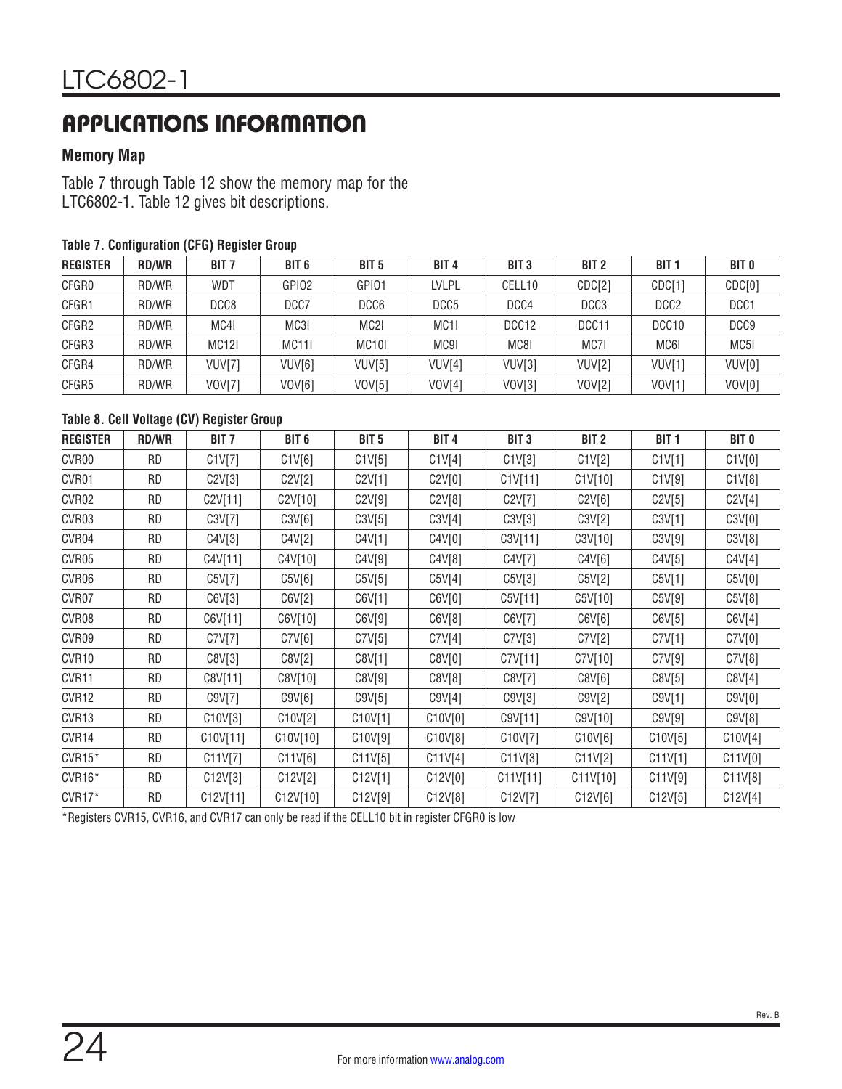### **Memory Map**

[Table 7](#page-23-0) through [Table 12](#page-25-0) show the memory map for the LTC6802-1. [Table 12](#page-25-0) gives bit descriptions.

| <b>REGISTER</b> | <b>RD/WR</b> | <b>BIT 7</b>  | BIT <sub>6</sub>   | BIT <sub>5</sub> | BIT <sub>4</sub> | BIT <sub>3</sub>  | BIT <sub>2</sub> | <b>BIT 1</b>      | <b>BIT O</b>     |
|-----------------|--------------|---------------|--------------------|------------------|------------------|-------------------|------------------|-------------------|------------------|
| CFGR0           | RD/WR        | WDT           | GPIO <sub>2</sub>  | GPI01            | <b>LVLPL</b>     | CELL10            | CDC[2]           | CDC[1]            | CDC[0]           |
| CFGR1           | RD/WR        | DCC8          | DCC7               | DCC6             | DCC <sub>5</sub> | DCC4              | DCC <sub>3</sub> | DCC <sub>2</sub>  | DCC1             |
| CFGR2           | RD/WR        | MC4I          | MC3I               | MC <sub>2</sub>  | MC <sub>11</sub> | DCC <sub>12</sub> | DCC11            | DCC <sub>10</sub> | DCC <sub>9</sub> |
| CFGR3           | RD/WR        | <b>MC12I</b>  | <b>MC111</b>       | MC <sub>10</sub> | MC9I             | MC8I              | MC71             | MC61              | MC5I             |
| CFGR4           | RD/WR        | VUV[7]        | VUV <sub>[6]</sub> | VUV[5]           | VUV[4]           | VUV[3]            | VUV[2]           | VUV[1]            | VUV[0]           |
| CFGR5           | RD/WR        | <b>VOV[7]</b> | VOV[6]             | VOV[5]           | VOV[4]           | VOV[3]            | VOV[2]           | $VOVI$ ]          | VOV[0]           |

#### <span id="page-23-0"></span>**Table 7. Configuration (CFG) Register Group**

#### **Table 8. Cell Voltage (CV) Register Group**

| <b>REGISTER</b>   | <b>RD/WR</b> | BIT <sub>7</sub> | BIT <sub>6</sub> | BIT <sub>5</sub> | BIT <sub>4</sub> | BIT <sub>3</sub> | BIT <sub>2</sub> | BIT <sub>1</sub> | <b>BIT 0</b> |
|-------------------|--------------|------------------|------------------|------------------|------------------|------------------|------------------|------------------|--------------|
| CVR00             | <b>RD</b>    | C1V[7]           | C1V[6]           | C1V[5]           | C1V[4]           | C1V[3]           | C1V[2]           | C1V[1]           | C1V[0]       |
| CVR01             | RD.          | C2V[3]           | C2V[2]           | C2V[1]           | C2V[0]           | C1V[11]          | C1V[10]          | C1V[9]           | C1V[8]       |
| CVR02             | RD.          | C2V[11]          | C2V[10]          | C2V[9]           | C2V[8]           | C2V[7]           | C2V[6]           | C2V[5]           | C2V[4]       |
| CVR03             | RD.          | C3V[7]           | C3V[6]           | C3V[5]           | C3V[4]           | C3V[3]           | C3V[2]           | C3V[1]           | C3V[0]       |
| CVR04             | RD.          | C4V[3]           | C4V[2]           | C4V[1]           | C4V[0]           | C3V[11]          | C3V[10]          | C3V[9]           | C3V[8]       |
| CVR05             | <b>RD</b>    | C4V[11]          | C4V[10]          | C4V[9]           | C4V[8]           | C4V[7]           | C4V[6]           | C4V[5]           | C4V[4]       |
| CVR06             | <b>RD</b>    | C5V[7]           | C5V[6]           | C5V[5]           | C5V[4]           | C5V[3]           | C5V[2]           | C5V[1]           | C5V[0]       |
| CVR07             | <b>RD</b>    | C6V[3]           | C6V[2]           | C6V[1]           | C6V[0]           | C5V[11]          | C5V[10]          | C5V[9]           | C5V[8]       |
| CVR08             | <b>RD</b>    | C6V[11]          | C6V[10]          | C6V[9]           | C6V[8]           | C6V[7]           | C6V[6]           | C6V[5]           | C6V[4]       |
| CVR09             | <b>RD</b>    | C7V[7]           | C7V[6]           | CYV[5]           | C7V[4]           | C7V[3]           | C7V[2]           | CYV[1]           | C7V[0]       |
| CVR <sub>10</sub> | RD.          | C8V[3]           | C8V[2]           | C8V[1]           | C8V[0]           | C7V[11]          | C7V[10]          | C7V[9]           | C7V[8]       |
| CVR <sub>11</sub> | <b>RD</b>    | C8V[11]          | C8V[10]          | C8V[9]           | C8V[8]           | C8V[7]           | C8V[6]           | C8V[5]           | C8V[4]       |
| CVR12             | <b>RD</b>    | C9V[7]           | C9V[6]           | C9V[5]           | C9V[4]           | C9V[3]           | C9V[2]           | C9V[1]           | C9V[0]       |
| CVR13             | <b>RD</b>    | C10V[3]          | C10V[2]          | C10V[1]          | C10V[0]          | C9V[11]          | C9V[10]          | C9V[9]           | C9V[8]       |
| CVR14             | <b>RD</b>    | C10V[11]         | C10V[10]         | C10V[9]          | C10V[8]          | C10V[7]          | C10V[6]          | C10V[5]          | C10V[4]      |
| CVR15*            | RD.          | C11V[7]          | C11V[6]          | C11V[5]          | C11V[4]          | C11V[3]          | C11V[2]          | C11V[1]          | C11V[0]      |
| CVR16*            | <b>RD</b>    | C12V[3]          | C12V[2]          | C12V[1]          | C12V[0]          | C11V[11]         | C11V[10]         | C11V[9]          | C11V[8]      |
| $CVR17*$          | <b>RD</b>    | C12V[11]         | C12V[10]         | C12V[9]          | C12V[8]          | C12V[7]          | C12V[6]          | C12V[5]          | C12V[4]      |

\*Registers CVR15, CVR16, and CVR17 can only be read if the CELL10 bit in register CFGR0 is low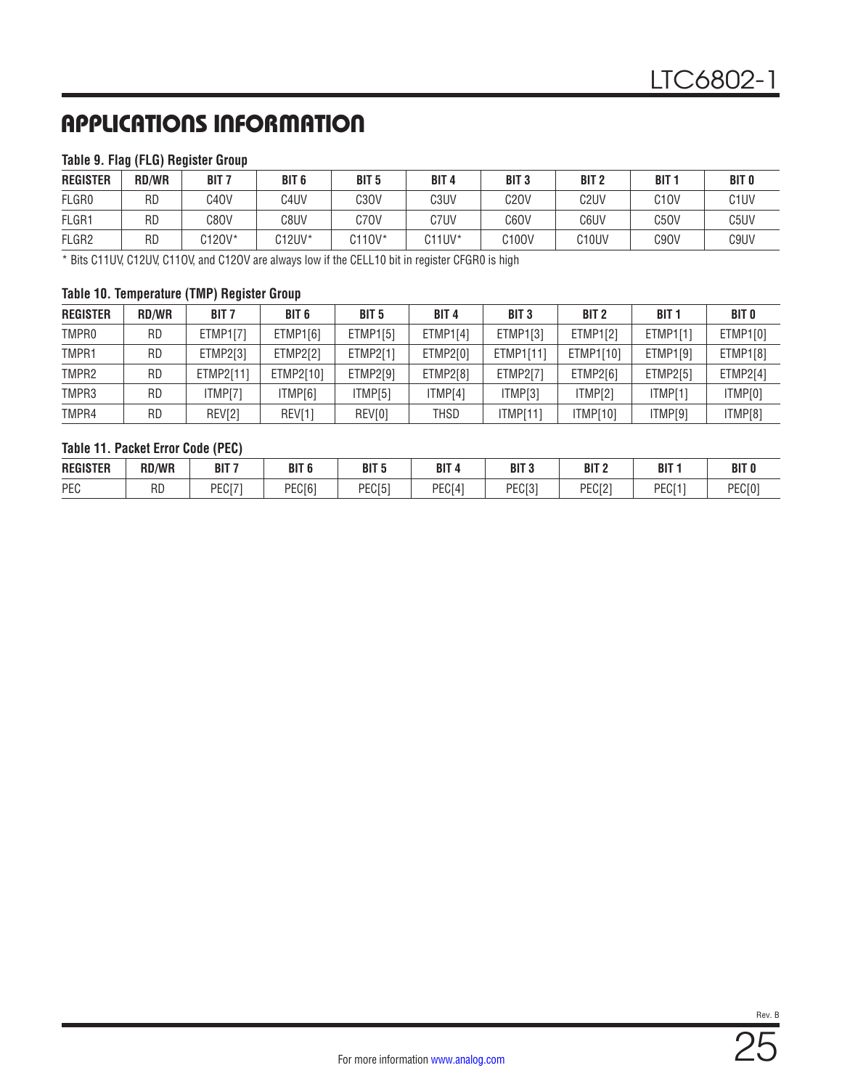### **Table 9. Flag (FLG) Register Group**

| <b>REGISTER</b>   | <b>RD/WR</b> | BIT <sub>7</sub>  | BIT <sub>6</sub>  | BIT <sub>5</sub> | BIT <sub>4</sub> | BIT <sub>3</sub> | BIT <sub>2</sub>   | <b>BIT1</b>       | <b>BIT 0</b> |
|-------------------|--------------|-------------------|-------------------|------------------|------------------|------------------|--------------------|-------------------|--------------|
| FLGR0             | <b>RD</b>    | C <sub>4</sub> OV | C <sub>4</sub> UV | C3OV             | C3UV             | C20V             | C <sub>2</sub> UV  | C <sub>1</sub> OV | C1UV         |
| FLGR1             | <b>RD</b>    | C8OV              | C8UV              | C7OV             | C7UV             | C60V             | C6UV               | C5OV              | C5UV         |
| FLGR <sub>2</sub> | <b>RD</b>    | C120V*            | C12UV*            | C110V*           | $C11UV^*$        | C100V            | C <sub>10</sub> UV | C <sub>9</sub> OV | C9UV         |

\* Bits C11UV, C12UV, C11OV, and C12OV are always low if the CELL10 bit in register CFGR0 is high

#### **Table 10. Temperature (TMP) Register Group**

| <b>REGISTER</b>   | <b>RD/WR</b> | <b>BIT 7</b>    | BIT <sub>6</sub> | <b>BIT 5</b>    | <b>BIT4</b>     | <b>BIT 3</b> | BIT <sub>2</sub> | <b>BIT 1</b> | BIT O    |
|-------------------|--------------|-----------------|------------------|-----------------|-----------------|--------------|------------------|--------------|----------|
| TMPR <sub>0</sub> | RD           | <b>ETMP1[7]</b> | ETMP1[6]         | <b>ETMP1[5]</b> | <b>ETMP1[4]</b> | ETMP1[3]     | ETMP1[2]         | ETMP1[1]     | ETMP1[0] |
| TMPR1             | RD           | ETMP2[3]        | <b>ETMP2[2]</b>  | ETMP2[1]        | ETMP2[0]        | ETMP1[11]    | ETMP1[10]        | ETMP1[9]     | ETMP1[8] |
| TMPR <sub>2</sub> | <b>RD</b>    | ETMP2[11]       | ETMP2[10]        | ETMP2[9]        | ETMP2[8]        | ETMP2[7]     | ETMP2[6]         | ETMP2[5]     | ETMP2[4] |
| TMPR3             | RD           | ITMP[7]         | ITMP[6]          | ITMP[5]         | ITMP[4]         | ITMP[3]      | ITMP[2]          | ITMP[1]      | ITMP[0]  |
| TMPR4             | RD           | REV[2]          | REV[1]           | REV[0]          | THSD            | ITMP[11]     | <b>ITMP[10]</b>  | ITMP[9]      | ITMP[8]  |

### **Table 11. Packet Error Code (PEC)**

| <b>REGISTER</b> | <b>RD/WR</b> | דום<br>DI I    | דומ<br>DII                   | BIT <sub>5</sub>           | <b>DIT</b><br>DI I | ף דום<br>ыı                 | BIT <sub>2</sub>     | <b>DIT</b><br>DI.             | דומ<br>DI I    |
|-----------------|--------------|----------------|------------------------------|----------------------------|--------------------|-----------------------------|----------------------|-------------------------------|----------------|
| PEC             | RD           | DEOI71<br>∼⊔∪∟ | <b>DECIA1</b><br><b>EUIU</b> | DECIE <sup>1</sup><br>EUIJ | PEC <sub>[4]</sub> | DEC <sub>[3]</sub><br>'EUI3 | <b>DECIO</b><br>EUIZ | DEC <sub>[1]</sub><br>∵ ا ∪ ∟ | DECIU.<br>EUIU |

Rev. B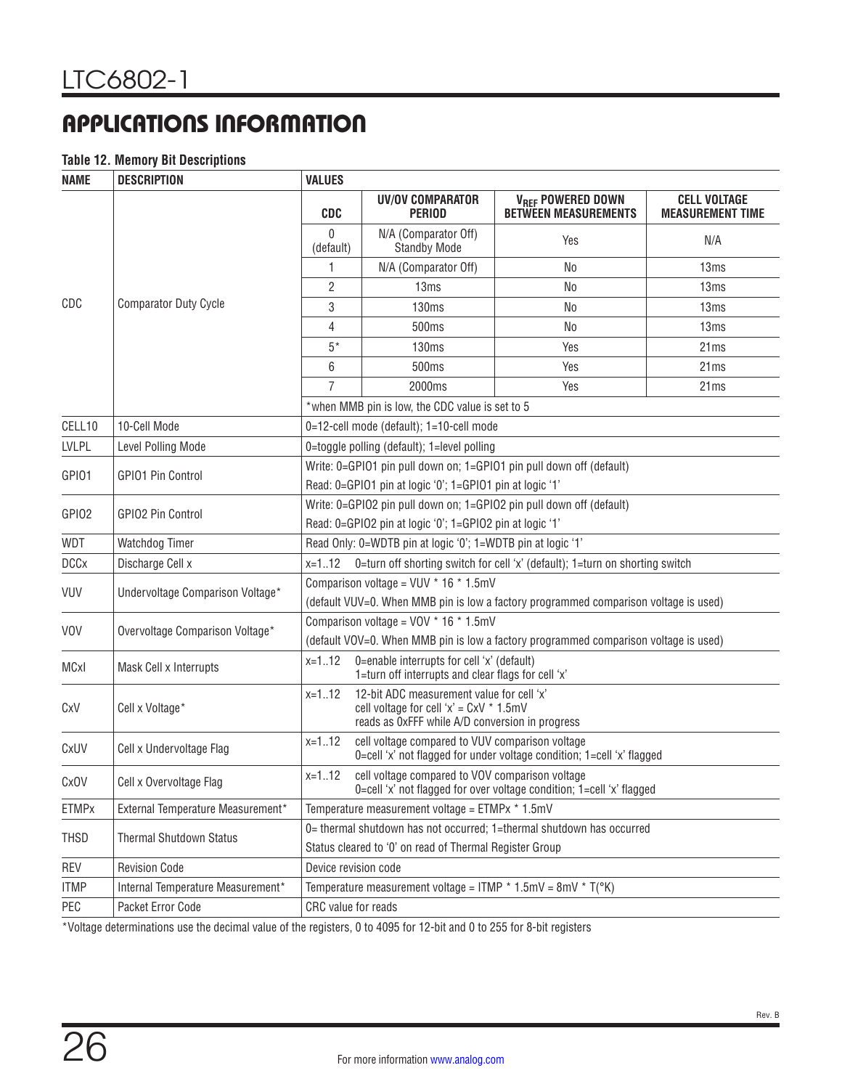### <span id="page-25-0"></span>**Table 12. Memory Bit Descriptions**

| <b>NAME</b>                                                                                               | <b>DESCRIPTION</b>                | <b>VALUES</b>                                                                                                                        |                                                                                                                                               |                                                                                      |                                                |  |  |
|-----------------------------------------------------------------------------------------------------------|-----------------------------------|--------------------------------------------------------------------------------------------------------------------------------------|-----------------------------------------------------------------------------------------------------------------------------------------------|--------------------------------------------------------------------------------------|------------------------------------------------|--|--|
|                                                                                                           |                                   | <b>CDC</b>                                                                                                                           | UV/OV COMPARATOR<br><b>PERIOD</b>                                                                                                             | <b>VREF POWERED DOWN</b><br><b>BETWEEN MEASUREMENTS</b>                              | <b>CELL VOLTAGE</b><br><b>MEASUREMENT TIME</b> |  |  |
|                                                                                                           |                                   | 0<br>(default)                                                                                                                       | N/A (Comparator Off)<br><b>Standby Mode</b>                                                                                                   | Yes                                                                                  | N/A                                            |  |  |
|                                                                                                           |                                   | 1                                                                                                                                    | N/A (Comparator Off)                                                                                                                          | No                                                                                   | 13ms                                           |  |  |
|                                                                                                           |                                   | 2                                                                                                                                    | 13ms                                                                                                                                          | No                                                                                   | 13 <sub>ms</sub>                               |  |  |
| CDC                                                                                                       | <b>Comparator Duty Cycle</b>      | 3                                                                                                                                    | 130ms                                                                                                                                         | No                                                                                   | 13ms                                           |  |  |
|                                                                                                           |                                   | 4                                                                                                                                    | 500ms                                                                                                                                         | No                                                                                   | 13ms                                           |  |  |
|                                                                                                           |                                   | $5*$                                                                                                                                 | 130ms                                                                                                                                         | Yes                                                                                  | 21ms                                           |  |  |
|                                                                                                           |                                   | 6                                                                                                                                    | 500 <sub>ms</sub>                                                                                                                             | Yes                                                                                  | 21 <sub>ms</sub>                               |  |  |
|                                                                                                           |                                   | 7                                                                                                                                    | 2000ms                                                                                                                                        | Yes                                                                                  | 21ms                                           |  |  |
|                                                                                                           |                                   |                                                                                                                                      | *when MMB pin is low, the CDC value is set to 5                                                                                               |                                                                                      |                                                |  |  |
| CELL10                                                                                                    | 10-Cell Mode                      |                                                                                                                                      | 0=12-cell mode (default); 1=10-cell mode                                                                                                      |                                                                                      |                                                |  |  |
| <b>LVLPL</b>                                                                                              | Level Polling Mode                | 0=toggle polling (default); 1=level polling                                                                                          |                                                                                                                                               |                                                                                      |                                                |  |  |
| Write: 0=GPIO1 pin pull down on; 1=GPIO1 pin pull down off (default)<br>GPI01<br><b>GPIO1 Pin Control</b> |                                   |                                                                                                                                      |                                                                                                                                               |                                                                                      |                                                |  |  |
|                                                                                                           |                                   |                                                                                                                                      | Read: 0=GPIO1 pin at logic '0'; 1=GPIO1 pin at logic '1'                                                                                      |                                                                                      |                                                |  |  |
| GPI02                                                                                                     | <b>GPIO2 Pin Control</b>          |                                                                                                                                      |                                                                                                                                               | Write: 0=GPIO2 pin pull down on; 1=GPIO2 pin pull down off (default)                 |                                                |  |  |
|                                                                                                           |                                   | Read: 0=GPIO2 pin at logic '0'; 1=GPIO2 pin at logic '1'                                                                             |                                                                                                                                               |                                                                                      |                                                |  |  |
| WDT                                                                                                       | Watchdog Timer                    | Read Only: 0=WDTB pin at logic '0'; 1=WDTB pin at logic '1'                                                                          |                                                                                                                                               |                                                                                      |                                                |  |  |
| <b>DCCx</b>                                                                                               | Discharge Cell x                  | 0=turn off shorting switch for cell 'x' (default); 1=turn on shorting switch<br>$x=112$                                              |                                                                                                                                               |                                                                                      |                                                |  |  |
| <b>VUV</b>                                                                                                | Undervoltage Comparison Voltage*  |                                                                                                                                      | Comparison voltage = $VUV * 16 * 1.5mV$                                                                                                       |                                                                                      |                                                |  |  |
|                                                                                                           |                                   |                                                                                                                                      |                                                                                                                                               | (default VUV=0. When MMB pin is low a factory programmed comparison voltage is used) |                                                |  |  |
| <b>VOV</b>                                                                                                | Overvoltage Comparison Voltage*   |                                                                                                                                      | Comparison voltage = $VOV * 16 * 1.5mV$                                                                                                       |                                                                                      |                                                |  |  |
|                                                                                                           |                                   |                                                                                                                                      |                                                                                                                                               | (default VOV=0. When MMB pin is low a factory programmed comparison voltage is used) |                                                |  |  |
| MCxI                                                                                                      | Mask Cell x Interrupts            | $x=112$                                                                                                                              | 0=enable interrupts for cell 'x' (default)<br>1=turn off interrupts and clear flags for cell 'x'                                              |                                                                                      |                                                |  |  |
| CxV                                                                                                       | Cell x Voltage*                   | $x=112$                                                                                                                              | 12-bit ADC measurement value for cell 'x'<br>cell voltage for cell ' $x$ ' = $CxV$ * 1.5mV<br>reads as OxFFF while A/D conversion in progress |                                                                                      |                                                |  |  |
| CxUV                                                                                                      | Cell x Undervoltage Flag          | $x=112$<br>cell voltage compared to VUV comparison voltage<br>0=cell 'x' not flagged for under voltage condition; 1=cell 'x' flagged |                                                                                                                                               |                                                                                      |                                                |  |  |
| CxOV                                                                                                      | Cell x Overvoltage Flag           | cell voltage compared to VOV comparison voltage<br>$x=112$<br>0=cell 'x' not flagged for over voltage condition; 1=cell 'x' flagged  |                                                                                                                                               |                                                                                      |                                                |  |  |
| <b>ETMPx</b>                                                                                              | External Temperature Measurement* | Temperature measurement voltage = ETMPx * 1.5mV                                                                                      |                                                                                                                                               |                                                                                      |                                                |  |  |
| THSD                                                                                                      | <b>Thermal Shutdown Status</b>    |                                                                                                                                      |                                                                                                                                               | 0= thermal shutdown has not occurred; 1=thermal shutdown has occurred                |                                                |  |  |
|                                                                                                           |                                   |                                                                                                                                      | Status cleared to '0' on read of Thermal Register Group                                                                                       |                                                                                      |                                                |  |  |
| <b>REV</b>                                                                                                | <b>Revision Code</b>              | Device revision code                                                                                                                 |                                                                                                                                               |                                                                                      |                                                |  |  |
| <b>ITMP</b>                                                                                               | Internal Temperature Measurement* |                                                                                                                                      | Temperature measurement voltage = ITMP $*$ 1.5mV = 8mV $*$ T( $(K)$ )                                                                         |                                                                                      |                                                |  |  |
| PEC                                                                                                       | Packet Error Code                 | CRC value for reads                                                                                                                  |                                                                                                                                               |                                                                                      |                                                |  |  |

\*Voltage determinations use the decimal value of the registers, 0 to 4095 for 12-bit and 0 to 255 for 8-bit registers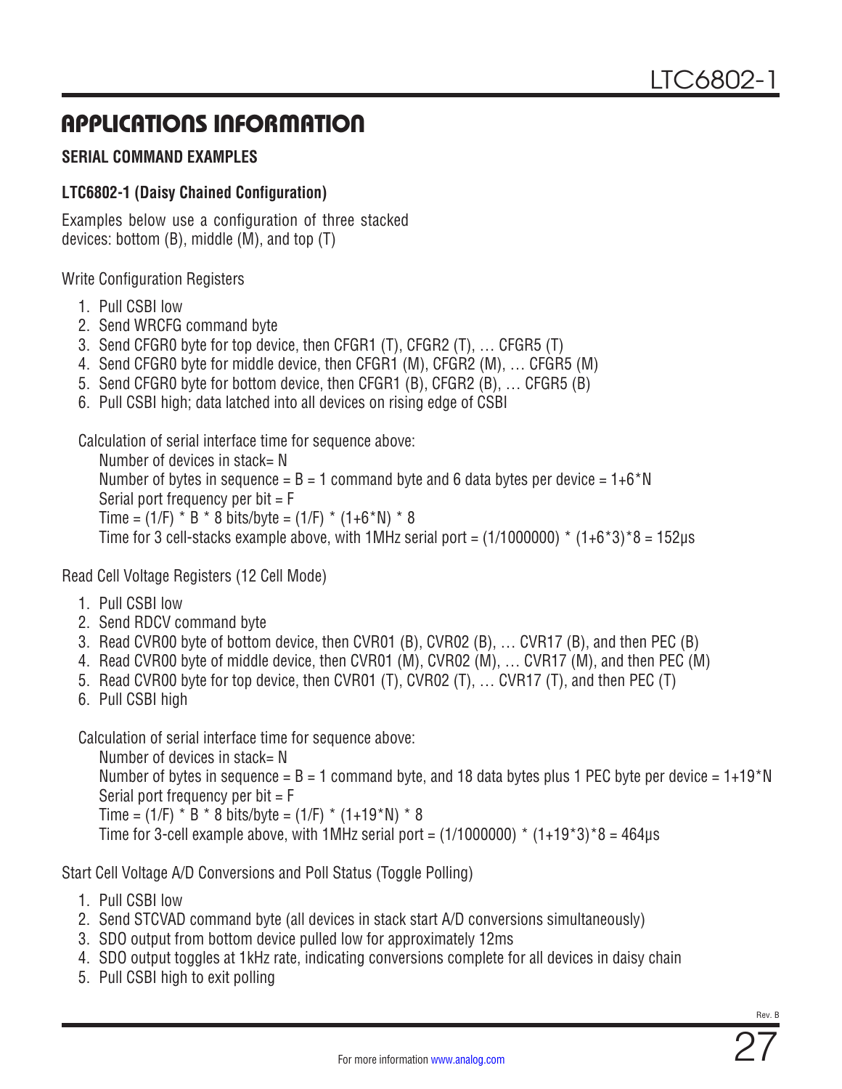### <span id="page-26-0"></span>**SERIAL COMMAND EXAMPLES**

### **LTC6802-1 (Daisy Chained Configuration)**

Examples below use a configuration of three stacked devices: bottom (B), middle (M), and top (T)

Write Configuration Registers

- 1. Pull CSBI low
- 2. Send WRCFG command byte
- 3. Send CFGR0 byte for top device, then CFGR1 (T), CFGR2 (T), … CFGR5 (T)
- 4. Send CFGR0 byte for middle device, then CFGR1 (M), CFGR2 (M), … CFGR5 (M)
- 5. Send CFGR0 byte for bottom device, then CFGR1 (B), CFGR2 (B), … CFGR5 (B)
- 6. Pull CSBI high; data latched into all devices on rising edge of CSBI

Calculation of serial interface time for sequence above:

Number of devices in stack= N Number of bytes in sequence =  $B = 1$  command byte and 6 data bytes per device =  $1+6*N$ Serial port frequency per bit  $=$  F Time =  $(1/F) * B * 8$  bits/byte =  $(1/F) * (1+6*N) * 8$ Time for 3 cell-stacks example above, with 1MHz serial port =  $(1/1000000) * (1+6*3)*8 = 152\mu s$ 

Read Cell Voltage Registers (12 Cell Mode)

- 1. Pull CSBI low
- 2. Send RDCV command byte
- 3. Read CVR00 byte of bottom device, then CVR01 (B), CVR02 (B), … CVR17 (B), and then PEC (B)
- 4. Read CVR00 byte of middle device, then CVR01 (M), CVR02 (M), … CVR17 (M), and then PEC (M)
- 5. Read CVR00 byte for top device, then CVR01 (T), CVR02 (T), … CVR17 (T), and then PEC (T)
- 6. Pull CSBI high

Calculation of serial interface time for sequence above:

Number of devices in stack= N Number of bytes in sequence =  $B = 1$  command byte, and 18 data bytes plus 1 PEC byte per device =  $1+19*N$ Serial port frequency per bit  $=$   $F$ Time =  $(1/F) * B * 8$  bits/byte =  $(1/F) * (1+19*N) * 8$ Time for 3-cell example above, with 1MHz serial port =  $(1/1000000)$  \*  $(1+19*3)*8 = 464\mu s$ 

Start Cell Voltage A/D Conversions and Poll Status (Toggle Polling)

- 1. Pull CSBI low
- 2. Send STCVAD command byte (all devices in stack start A/D conversions simultaneously)
- 3. SDO output from bottom device pulled low for approximately 12ms
- 4. SDO output toggles at 1kHz rate, indicating conversions complete for all devices in daisy chain
- 5. Pull CSBI high to exit polling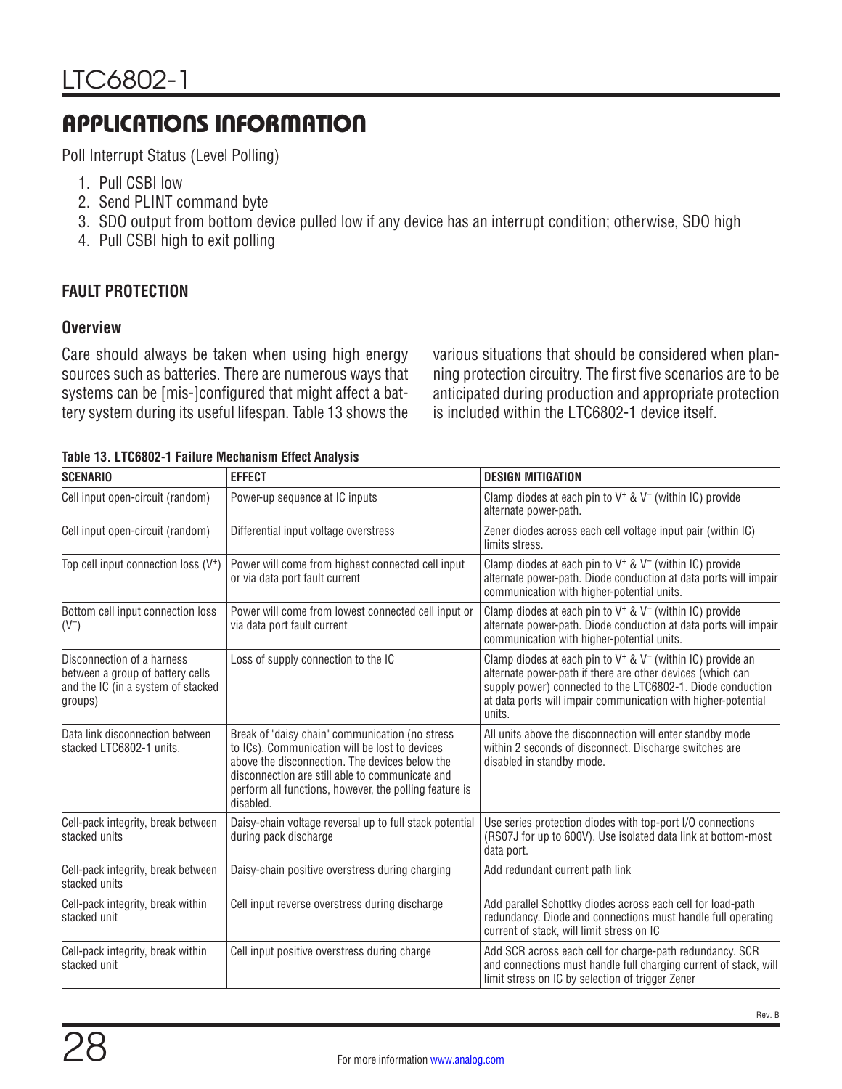Poll Interrupt Status (Level Polling)

- 1. Pull CSBI low
- 2. Send PLINT command byte
- 3. SDO output from bottom device pulled low if any device has an interrupt condition; otherwise, SDO high
- 4. Pull CSBI high to exit polling

### **FAULT PROTECTION**

### **Overview**

Care should always be taken when using high energy sources such as batteries. There are numerous ways that systems can be [mis-]configured that might affect a battery system during its useful lifespan. [Table 13](#page-27-0) shows the

various situations that should be considered when planning protection circuitry. The first five scenarios are to be anticipated during production and appropriate protection is included within the LTC6802-1 device itself.

| <b>SCENARIO</b>                                                                                                 | <b>EFFECT</b>                                                                                                                                                                                                                                                                 | <b>DESIGN MITIGATION</b>                                                                                                                                                                                                                                                |  |  |
|-----------------------------------------------------------------------------------------------------------------|-------------------------------------------------------------------------------------------------------------------------------------------------------------------------------------------------------------------------------------------------------------------------------|-------------------------------------------------------------------------------------------------------------------------------------------------------------------------------------------------------------------------------------------------------------------------|--|--|
| Cell input open-circuit (random)                                                                                | Power-up sequence at IC inputs                                                                                                                                                                                                                                                | Clamp diodes at each pin to $V^+$ & $V^-$ (within IC) provide<br>alternate power-path.                                                                                                                                                                                  |  |  |
| Cell input open-circuit (random)                                                                                | Differential input voltage overstress                                                                                                                                                                                                                                         | Zener diodes across each cell voltage input pair (within IC)<br>limits stress.                                                                                                                                                                                          |  |  |
| Top cell input connection loss $(V^+)$                                                                          | Power will come from highest connected cell input<br>or via data port fault current                                                                                                                                                                                           | Clamp diodes at each pin to $V^+$ & $V^-$ (within IC) provide<br>alternate power-path. Diode conduction at data ports will impair<br>communication with higher-potential units.                                                                                         |  |  |
| Bottom cell input connection loss<br>$(V^-)$                                                                    | Power will come from lowest connected cell input or<br>via data port fault current                                                                                                                                                                                            | Clamp diodes at each pin to $V^+$ & $V^-$ (within IC) provide<br>alternate power-path. Diode conduction at data ports will impair<br>communication with higher-potential units.                                                                                         |  |  |
| Disconnection of a harness<br>between a group of battery cells<br>and the IC (in a system of stacked<br>groups) | Loss of supply connection to the IC                                                                                                                                                                                                                                           | Clamp diodes at each pin to $V^+$ & $V^-$ (within IC) provide an<br>alternate power-path if there are other devices (which can<br>supply power) connected to the LTC6802-1. Diode conduction<br>at data ports will impair communication with higher-potential<br>units. |  |  |
| Data link disconnection between<br>stacked LTC6802-1 units.                                                     | Break of "daisy chain" communication (no stress<br>to ICs). Communication will be lost to devices<br>above the disconnection. The devices below the<br>disconnection are still able to communicate and<br>perform all functions, however, the polling feature is<br>disabled. | All units above the disconnection will enter standby mode<br>within 2 seconds of disconnect. Discharge switches are<br>disabled in standby mode.                                                                                                                        |  |  |
| Cell-pack integrity, break between<br>stacked units                                                             | Daisy-chain voltage reversal up to full stack potential<br>during pack discharge                                                                                                                                                                                              | Use series protection diodes with top-port I/O connections<br>(RS07J for up to 600V). Use isolated data link at bottom-most<br>data port.                                                                                                                               |  |  |
| Cell-pack integrity, break between<br>stacked units                                                             | Daisy-chain positive overstress during charging                                                                                                                                                                                                                               | Add redundant current path link                                                                                                                                                                                                                                         |  |  |
| Cell-pack integrity, break within<br>stacked unit                                                               | Cell input reverse overstress during discharge                                                                                                                                                                                                                                | Add parallel Schottky diodes across each cell for load-path<br>redundancy. Diode and connections must handle full operating<br>current of stack, will limit stress on IC                                                                                                |  |  |
| Cell-pack integrity, break within<br>stacked unit                                                               | Cell input positive overstress during charge                                                                                                                                                                                                                                  | Add SCR across each cell for charge-path redundancy. SCR<br>and connections must handle full charging current of stack, will<br>limit stress on IC by selection of trigger Zener                                                                                        |  |  |

<span id="page-27-0"></span>

| Table 13. LTC6802-1 Failure Mechanism Effect Analysis |  |  |  |  |  |  |  |
|-------------------------------------------------------|--|--|--|--|--|--|--|
|-------------------------------------------------------|--|--|--|--|--|--|--|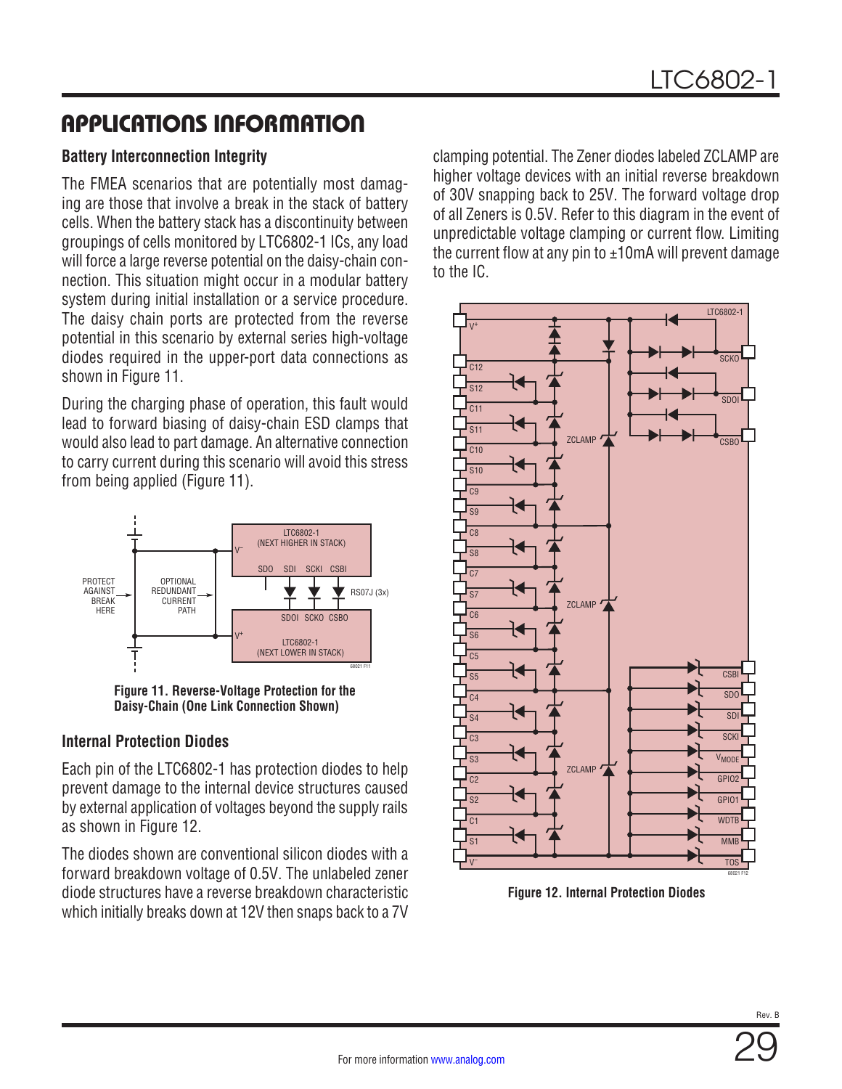### **Battery Interconnection Integrity**

The FMEA scenarios that are potentially most damaging are those that involve a break in the stack of battery cells. When the battery stack has a discontinuity between groupings of cells monitored by LTC6802-1 ICs, any load will force a large reverse potential on the daisy-chain connection. This situation might occur in a modular battery system during initial installation or a service procedure. The daisy chain ports are protected from the reverse potential in this scenario by external series high-voltage diodes required in the upper-port data connections as shown in [Figure 11.](#page-28-0)

During the charging phase of operation, this fault would lead to forward biasing of daisy-chain ESD clamps that would also lead to part damage. An alternative connection to carry current during this scenario will avoid this stress from being applied ([Figure 11\)](#page-28-0).



<span id="page-28-0"></span>**Figure 11. Reverse-Voltage Protection for the Daisy-Chain (One Link Connection Shown)**

### **Internal Protection Diodes**

Each pin of the LTC6802-1 has protection diodes to help prevent damage to the internal device structures caused by external application of voltages beyond the supply rails as shown in [Figure 12.](#page-28-1)

The diodes shown are conventional silicon diodes with a forward breakdown voltage of 0.5V. The unlabeled zener diode structures have a reverse breakdown characteristic which initially breaks down at 12V then snaps back to a 7V

clamping potential. The Zener diodes labeled ZCLAMP are higher voltage devices with an initial reverse breakdown of 30V snapping back to 25V. The forward voltage drop of all Zeners is 0.5V. Refer to this diagram in the event of unpredictable voltage clamping or current flow. Limiting the current flow at any pin to  $\pm 10$ mA will prevent damage to the IC.



**Figure 12. Internal Protection Diodes**

<span id="page-28-1"></span>Rev. B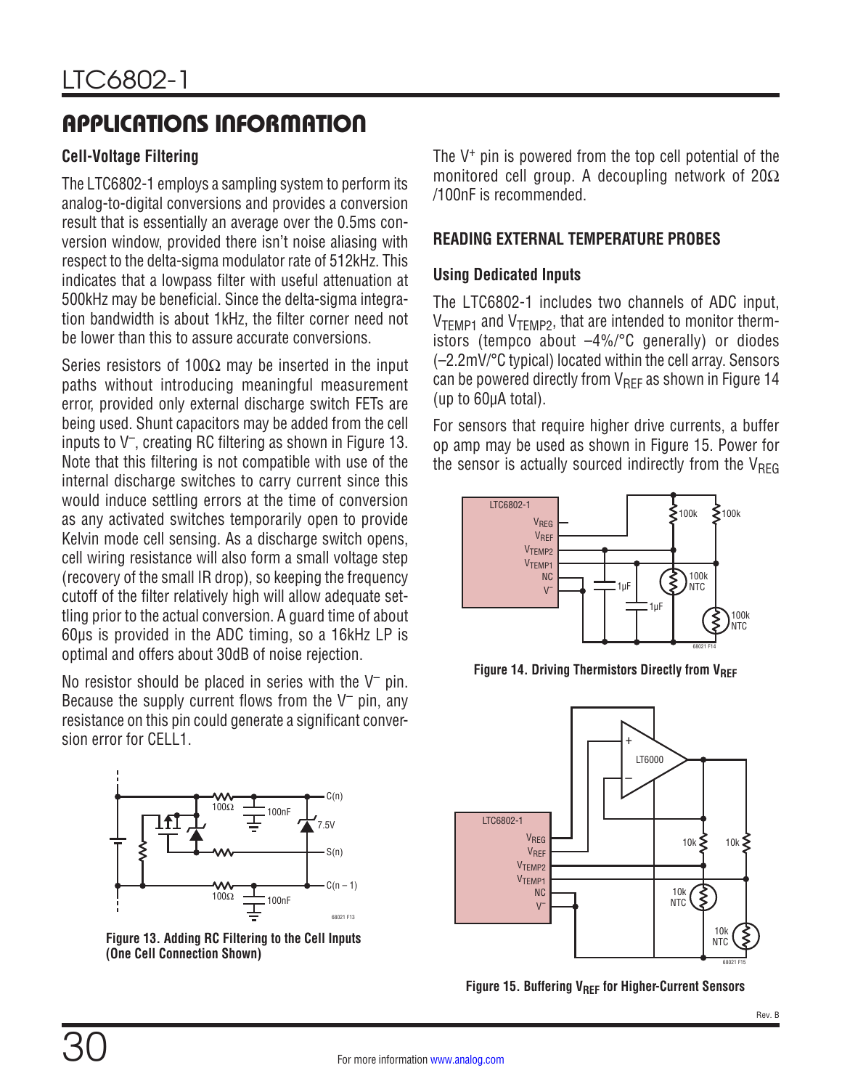### **Cell-Voltage Filtering**

The LTC6802-1 employs a sampling system to perform its analog-to-digital conversions and provides a conversion result that is essentially an average over the 0.5ms conversion window, provided there isn't noise aliasing with respect to the delta-sigma modulator rate of 512kHz. This indicates that a lowpass filter with useful attenuation at 500kHz may be beneficial. Since the delta-sigma integration bandwidth is about 1kHz, the filter corner need not be lower than this to assure accurate conversions.

Series resistors of 100 $\Omega$  may be inserted in the input paths without introducing meaningful measurement error, provided only external discharge switch FETs are being used. Shunt capacitors may be added from the cell inputs to  $V^-$ , creating RC filtering as shown in [Figure 13](#page-29-0). Note that this filtering is not compatible with use of the internal discharge switches to carry current since this would induce settling errors at the time of conversion as any activated switches temporarily open to provide Kelvin mode cell sensing. As a discharge switch opens, cell wiring resistance will also form a small voltage step (recovery of the small IR drop), so keeping the frequency cutoff of the filter relatively high will allow adequate settling prior to the actual conversion. A guard time of about 60µs is provided in the ADC timing, so a 16kHz LP is optimal and offers about 30dB of noise rejection.

No resistor should be placed in series with the  $V^-$  pin. Because the supply current flows from the  $V^-$  pin, any resistance on this pin could generate a significant conversion error for CELL1.



<span id="page-29-0"></span>**Figure 13. Adding RC Filtering to the Cell Inputs (One Cell Connection Shown)**

The V+ pin is powered from the top cell potential of the monitored cell group. A decoupling network of 20Ω /100nF is recommended.

### **READING EXTERNAL TEMPERATURE PROBES**

### **Using Dedicated Inputs**

The LTC6802-1 includes two channels of ADC input,  $V<sub>TEMP1</sub>$  and  $V<sub>TEMP2</sub>$ , that are intended to monitor thermistors (tempco about –4%/°C generally) or diodes (–2.2mV/°C typical) located within the cell array. Sensors can be powered directly from  $V_{REF}$  as shown in [Figure 14](#page-29-1) (up to 60µA total).

For sensors that require higher drive currents, a buffer op amp may be used as shown in [Figure 15](#page-29-2). Power for the sensor is actually sourced indirectly from the  $V_{RFG}$ 



<span id="page-29-1"></span>**Figure 14. Driving Thermistors Directly from VREF** 



<span id="page-29-2"></span>**Figure 15. Buffering V<sub>REF</sub> for Higher-Current Sensors**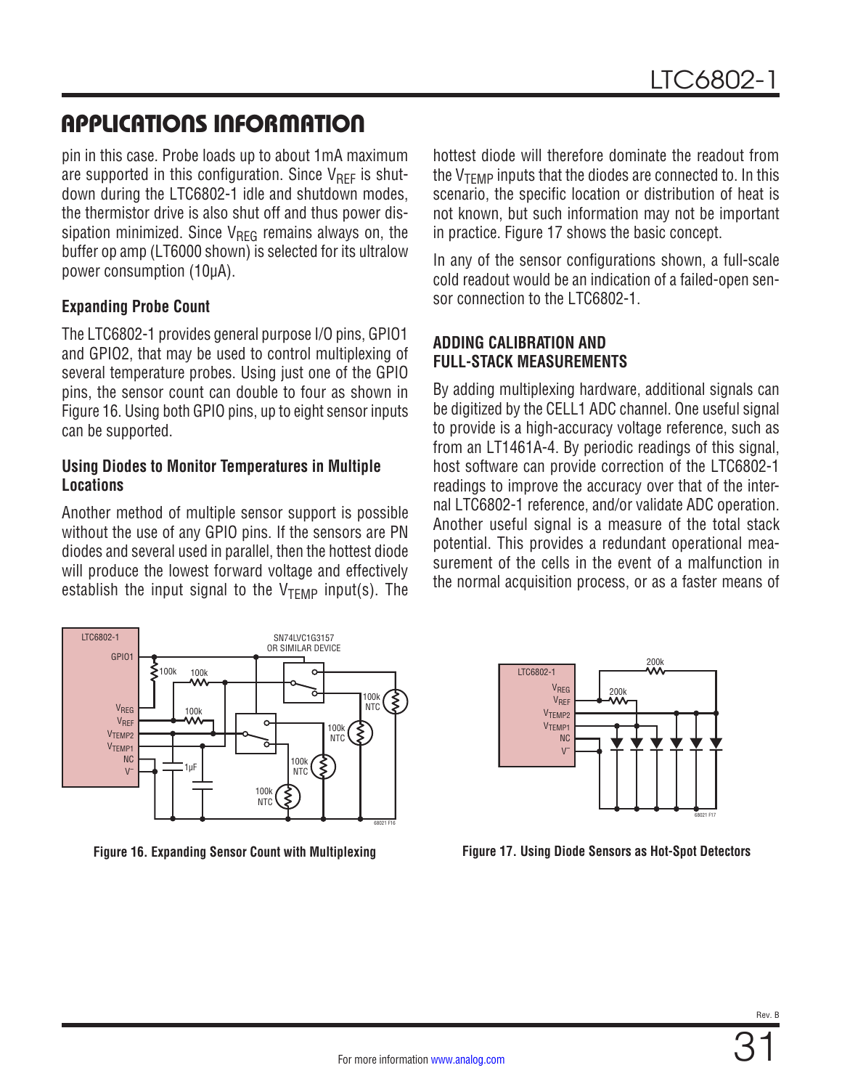pin in this case. Probe loads up to about 1mA maximum are supported in this configuration. Since  $V_{\text{RFF}}$  is shutdown during the LTC6802-1 idle and shutdown modes, the thermistor drive is also shut off and thus power dissipation minimized. Since  $V_{\text{REG}}$  remains always on, the buffer op amp (LT6000 shown) is selected for its ultralow power consumption (10µA).

### **Expanding Probe Count**

The LTC6802-1 provides general purpose I/O pins, GPIO1 and GPIO2, that may be used to control multiplexing of several temperature probes. Using just one of the GPIO pins, the sensor count can double to four as shown in [Figure 16.](#page-30-0) Using both GPIO pins, up to eight sensor inputs can be supported.

### **Using Diodes to Monitor Temperatures in Multiple Locations**

Another method of multiple sensor support is possible without the use of any GPIO pins. If the sensors are PN diodes and several used in parallel, then the hottest diode will produce the lowest forward voltage and effectively establish the input signal to the  $V_{\text{TFMP}}$  input(s). The



hottest diode will therefore dominate the readout from the  $V_{TFMP}$  inputs that the diodes are connected to. In this scenario, the specific location or distribution of heat is not known, but such information may not be important in practice. [Figure 17](#page-30-1) shows the basic concept.

In any of the sensor configurations shown, a full-scale cold readout would be an indication of a failed-open sensor connection to the ITC6802-1

### **ADDING CALIBRATION AND FULL-STACK MEASUREMENTS**

By adding multiplexing hardware, additional signals can be digitized by the CELL1 ADC channel. One useful signal to provide is a high-accuracy voltage reference, such as from an LT1461A-4. By periodic readings of this signal, host software can provide correction of the LTC6802-1 readings to improve the accuracy over that of the internal LTC6802-1 reference, and/or validate ADC operation. Another useful signal is a measure of the total stack potential. This provides a redundant operational measurement of the cells in the event of a malfunction in the normal acquisition process, or as a faster means of

<span id="page-30-1"></span>

<span id="page-30-0"></span>**Figure 16. Expanding Sensor Count with Multiplexing Figure 17. Using Diode Sensors as Hot-Spot Detectors**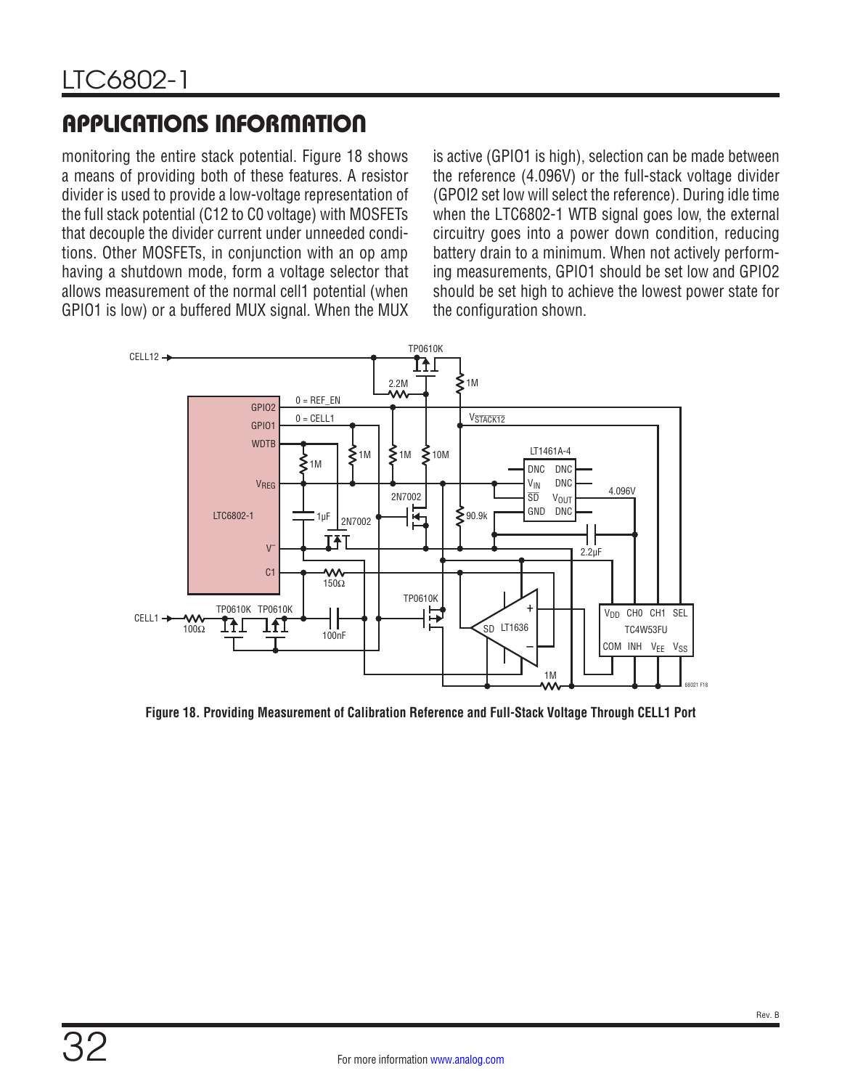monitoring the entire stack potential. [Figure 18](#page-31-0) shows a means of providing both of these features. A resistor divider is used to provide a low-voltage representation of the full stack potential (C12 to C0 voltage) with MOSFETs that decouple the divider current under unneeded conditions. Other MOSFETs, in conjunction with an op amp having a shutdown mode, form a voltage selector that allows measurement of the normal cell1 potential (when GPIO1 is low) or a buffered MUX signal. When the MUX

is active (GPIO1 is high), selection can be made between the reference (4.096V) or the full-stack voltage divider (GPOI2 set low will select the reference). During idle time when the LTC6802-1 WTB signal goes low, the external circuitry goes into a power down condition, reducing battery drain to a minimum. When not actively performing measurements, GPIO1 should be set low and GPIO2 should be set high to achieve the lowest power state for the configuration shown.



<span id="page-31-0"></span>**Figure 18. Providing Measurement of Calibration Reference and Full-Stack Voltage Through CELL1 Port**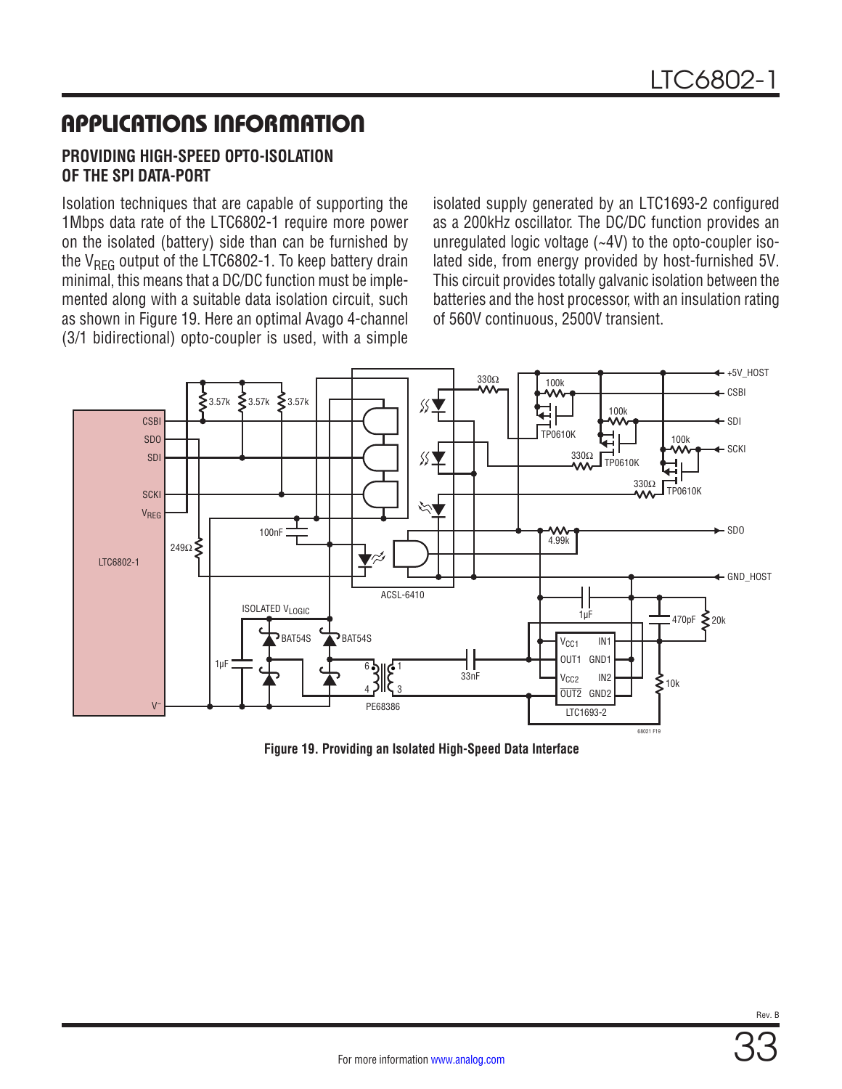### **PROVIDING HIGH-SPEED OPTO-ISOLATION OF THE SPI DATA-PORT**

Isolation techniques that are capable of supporting the 1Mbps data rate of the LTC6802-1 require more power on the isolated (battery) side than can be furnished by the  $V<sub>REG</sub>$  output of the LTC6802-1. To keep battery drain minimal, this means that a DC/DC function must be implemented along with a suitable data isolation circuit, such as shown in [Figure 19](#page-32-0). Here an optimal Avago 4-channel (3/1 bidirectional) opto-coupler is used, with a simple

isolated supply generated by an LTC1693-2 configured as a 200kHz oscillator. The DC/DC function provides an unregulated logic voltage (~4V) to the opto-coupler isolated side, from energy provided by host-furnished 5V. This circuit provides totally galvanic isolation between the batteries and the host processor, with an insulation rating of 560V continuous, 2500V transient.



<span id="page-32-0"></span>**Figure 19. Providing an Isolated High-Speed Data Interface**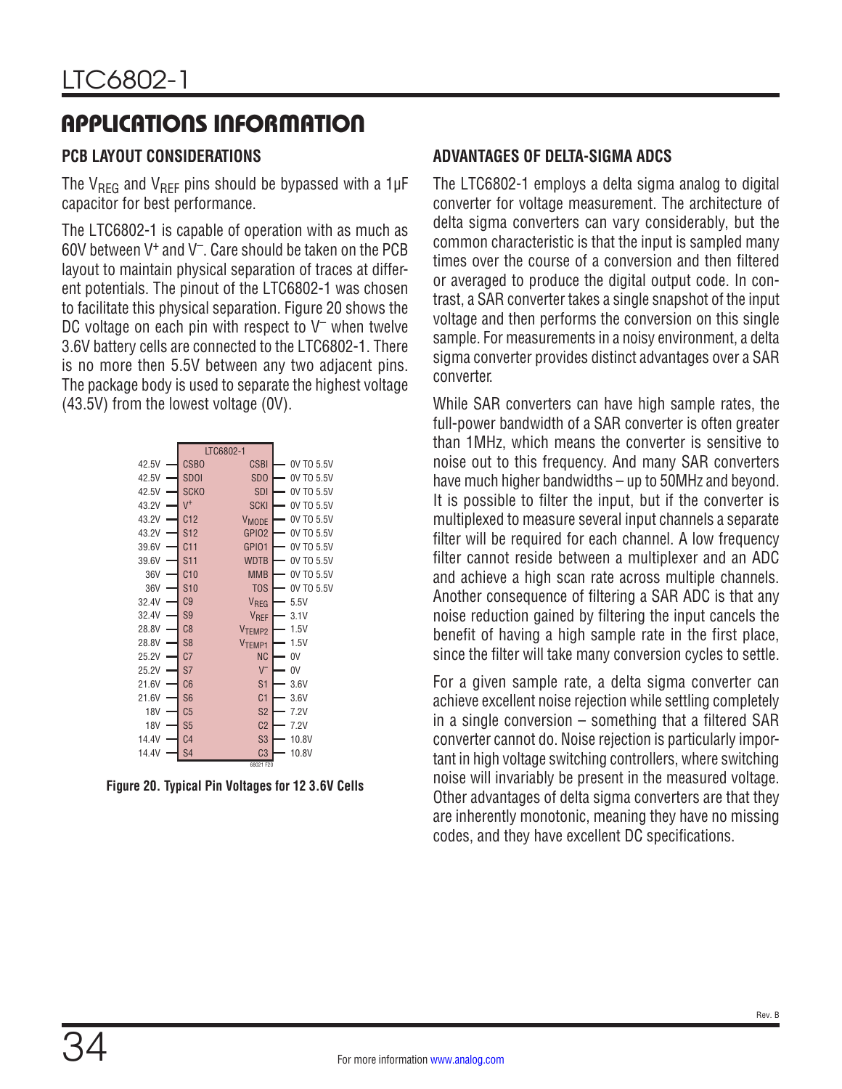### **PCB LAYOUT CONSIDERATIONS**

The V<sub>REG</sub> and V<sub>REF</sub> pins should be bypassed with a 1 $\mu$ F capacitor for best performance.

The LTC6802-1 is capable of operation with as much as 60V between V+ and V–. Care should be taken on the PCB layout to maintain physical separation of traces at different potentials. The pinout of the LTC6802-1 was chosen to facilitate this physical separation. [Figure 20](#page-33-0) shows the DC voltage on each pin with respect to  $V^-$  when twelve 3.6V battery cells are connected to the LTC6802-1. There is no more then 5.5V between any two adjacent pins. The package body is used to separate the highest voltage (43.5V) from the lowest voltage (0V).

|       |                 | LTC6802-1          |            |
|-------|-----------------|--------------------|------------|
| 42.5V | <b>CSBO</b>     | <b>CSBI</b>        | 0V TO 5.5V |
| 42.5V | <b>SDOI</b>     | SD <sub>0</sub>    | 0V TO 5.5V |
| 42.5V | <b>SCKO</b>     | <b>SDI</b>         | 0V TO 5.5V |
| 43.2V | $V^+$           | <b>SCKI</b>        | 0V TO 5.5V |
| 43.2V | C12             | <b>VMODE</b>       | 0V TO 5.5V |
| 43.2V | S <sub>12</sub> | GPIO <sub>2</sub>  | 0V TO 5.5V |
| 39.6V | C <sub>11</sub> | GPI01              | 0V TO 5.5V |
| 39.6V | S11             | <b>WDTB</b>        | 0V TO 5.5V |
| 36V   | C10             | <b>MMB</b>         | 0V TO 5.5V |
| 36V   | <b>S10</b>      | <b>TOS</b>         | 0V TO 5.5V |
| 32.4V | C9              | VREG               | 5.5V       |
| 32.4V | S <sub>9</sub>  | VREF               | 3.1V       |
| 28.8V | C8              | V <sub>TEMP2</sub> | 1.5V       |
| 28.8V | S <sub>8</sub>  | V <sub>TEMP1</sub> | 1.5V       |
| 25.2V | C <sub>7</sub>  | ΝC                 | 0V         |
| 25.2V | S7              | $V^-$              | 0V         |
| 21.6V | C6              | S <sub>1</sub>     | 3.6V       |
| 21.6V | S <sub>6</sub>  | C <sub>1</sub>     | 3.6V       |
| 18V   | C <sub>5</sub>  | S <sub>2</sub>     | 7.2V       |
| 18V   | S <sub>5</sub>  | C <sub>2</sub>     | 7.2V       |
| 14.4V | C <sub>4</sub>  | S <sub>3</sub>     | 10.8V      |
| 14.4V | S <sub>4</sub>  | C <sub>3</sub>     | 10.8V      |
|       |                 | 68021 F20          |            |

<span id="page-33-0"></span>**Figure 20. Typical Pin Voltages for 12 3.6V Cells**

### **ADVANTAGES OF DELTA-SIGMA ADCS**

The LTC6802-1 employs a delta sigma analog to digital converter for voltage measurement. The architecture of delta sigma converters can vary considerably, but the common characteristic is that the input is sampled many times over the course of a conversion and then filtered or averaged to produce the digital output code. In contrast, a SAR converter takes a single snapshot of the input voltage and then performs the conversion on this single sample. For measurements in a noisy environment, a delta sigma converter provides distinct advantages over a SAR converter.

While SAR converters can have high sample rates, the full-power bandwidth of a SAR converter is often greater than 1MHz, which means the converter is sensitive to noise out to this frequency. And many SAR converters have much higher bandwidths – up to 50MHz and beyond. It is possible to filter the input, but if the converter is multiplexed to measure several input channels a separate filter will be required for each channel. A low frequency filter cannot reside between a multiplexer and an ADC and achieve a high scan rate across multiple channels. Another consequence of filtering a SAR ADC is that any noise reduction gained by filtering the input cancels the benefit of having a high sample rate in the first place, since the filter will take many conversion cycles to settle.

For a given sample rate, a delta sigma converter can achieve excellent noise rejection while settling completely in a single conversion – something that a filtered SAR converter cannot do. Noise rejection is particularly important in high voltage switching controllers, where switching noise will invariably be present in the measured voltage. Other advantages of delta sigma converters are that they are inherently monotonic, meaning they have no missing codes, and they have excellent DC specifications.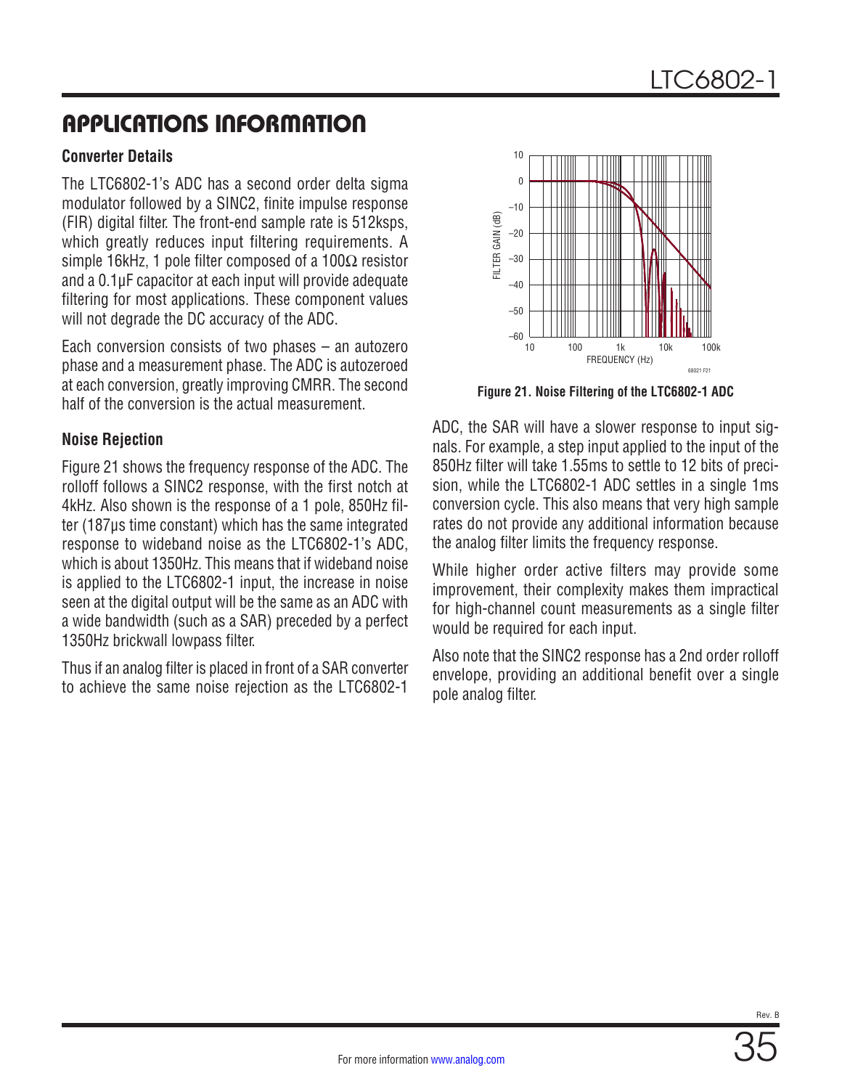### **Converter Details**

The LTC6802-1's ADC has a second order delta sigma modulator followed by a SINC2, finite impulse response (FIR) digital filter. The front-end sample rate is 512ksps, which greatly reduces input filtering requirements. A simple 16kHz, 1 pole filter composed of a 100 $\Omega$  resistor and a 0.1μF capacitor at each input will provide adequate filtering for most applications. These component values will not degrade the DC accuracy of the ADC.

Each conversion consists of two phases – an autozero phase and a measurement phase. The ADC is autozeroed at each conversion, greatly improving CMRR. The second half of the conversion is the actual measurement.

### **Noise Rejection**

[Figure 21](#page-34-0) shows the frequency response of the ADC. The rolloff follows a SINC2 response, with the first notch at 4kHz. Also shown is the response of a 1 pole, 850Hz filter (187μs time constant) which has the same integrated response to wideband noise as the LTC6802-1's ADC, which is about 1350Hz. This means that if wideband noise is applied to the LTC6802-1 input, the increase in noise seen at the digital output will be the same as an ADC with a wide bandwidth (such as a SAR) preceded by a perfect 1350Hz brickwall lowpass filter.

Thus if an analog filter is placed in front of a SAR converter to achieve the same noise rejection as the LTC6802-1



<span id="page-34-0"></span>**Figure 21. Noise Filtering of the LTC6802-1 ADC**

ADC, the SAR will have a slower response to input signals. For example, a step input applied to the input of the 850Hz filter will take 1.55ms to settle to 12 bits of precision, while the LTC6802-1 ADC settles in a single 1ms conversion cycle. This also means that very high sample rates do not provide any additional information because the analog filter limits the frequency response.

While higher order active filters may provide some improvement, their complexity makes them impractical for high-channel count measurements as a single filter would be required for each input.

Also note that the SINC2 response has a 2nd order rolloff envelope, providing an additional benefit over a single pole analog filter.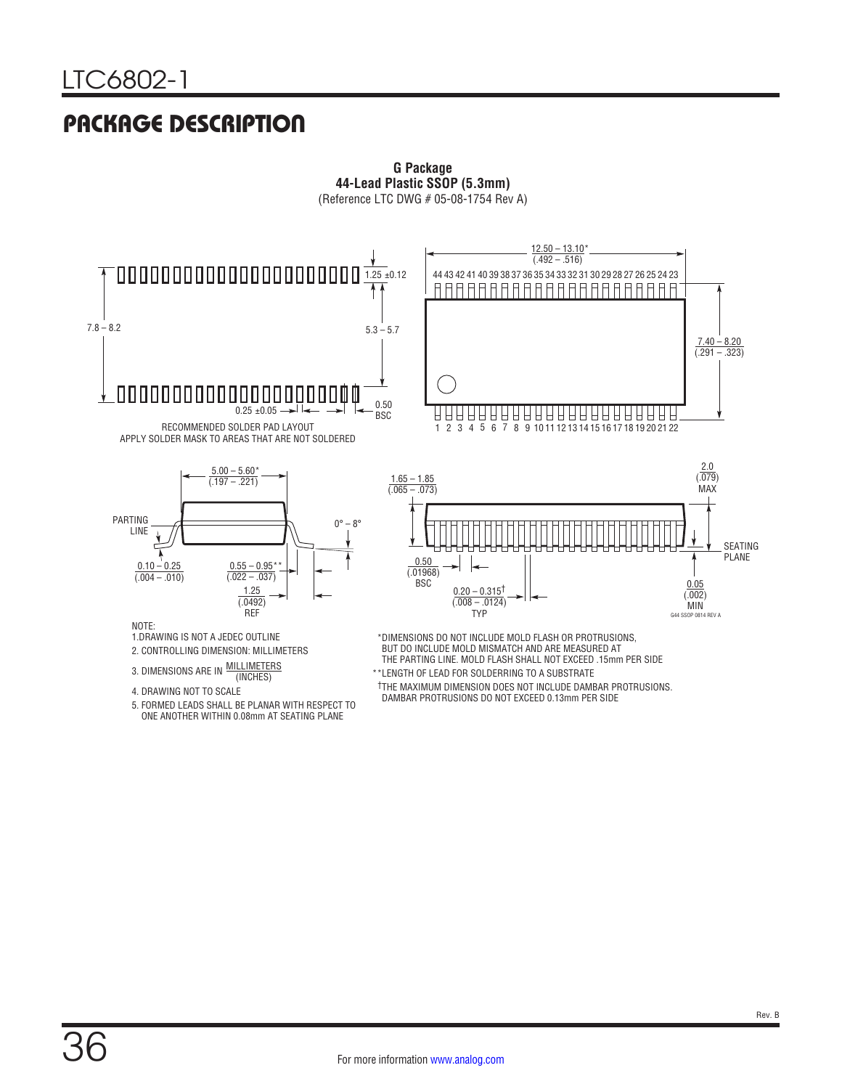## PACKAGE DESCRIPTION



**G Package 44-Lead Plastic SSOP (5.3mm)**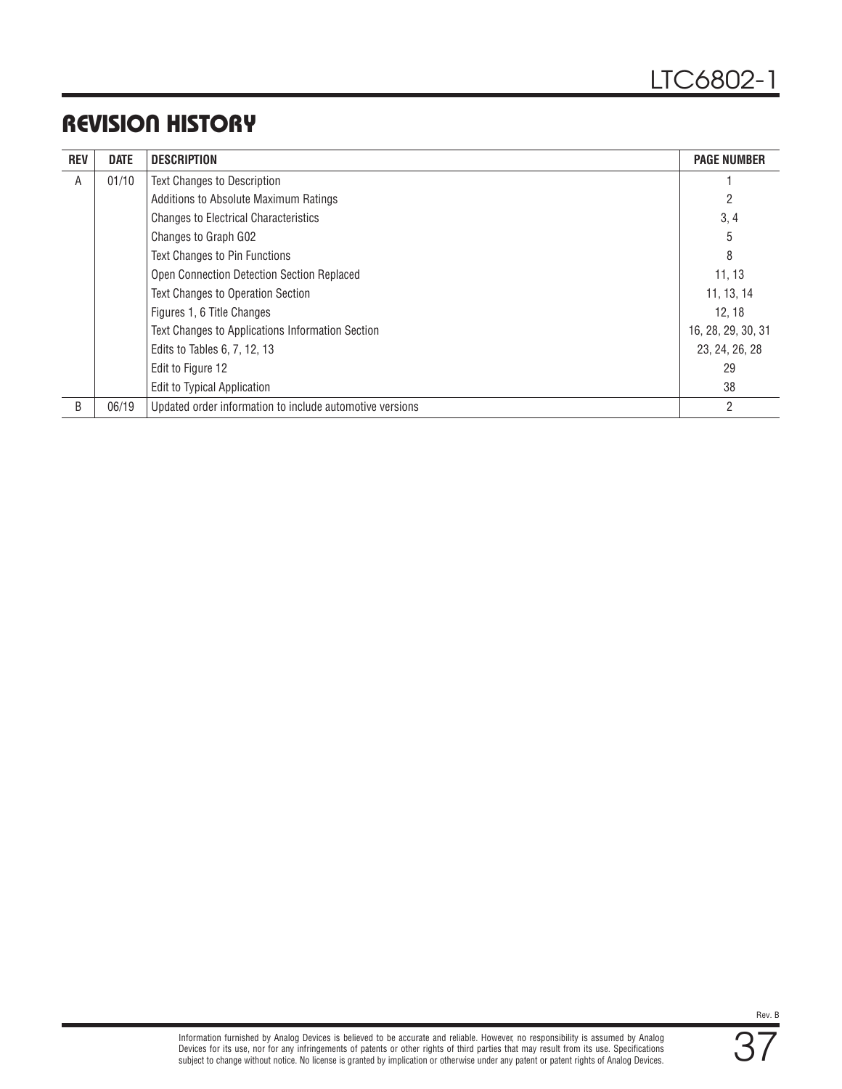## REVISION HISTORY

| <b>REV</b> | <b>DATE</b> | <b>DESCRIPTION</b>                                       | <b>PAGE NUMBER</b> |
|------------|-------------|----------------------------------------------------------|--------------------|
| A          | 01/10       | <b>Text Changes to Description</b>                       |                    |
|            |             | Additions to Absolute Maximum Ratings                    |                    |
|            |             | <b>Changes to Electrical Characteristics</b>             | 3, 4               |
|            |             | Changes to Graph G02                                     | 5                  |
|            |             | <b>Text Changes to Pin Functions</b>                     | 8                  |
|            |             | Open Connection Detection Section Replaced               | 11, 13             |
|            |             | <b>Text Changes to Operation Section</b>                 | 11, 13, 14         |
|            |             | Figures 1, 6 Title Changes                               | 12, 18             |
|            |             | Text Changes to Applications Information Section         | 16, 28, 29, 30, 31 |
|            |             | Edits to Tables 6, 7, 12, 13                             | 23, 24, 26, 28     |
|            |             | Edit to Figure 12                                        | 29                 |
|            |             | <b>Edit to Typical Application</b>                       | 38                 |
| B          | 06/19       | Updated order information to include automotive versions | 2                  |